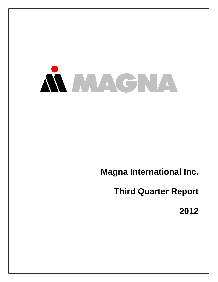

# **Magna International Inc.**

**Third Quarter Report**

**2012**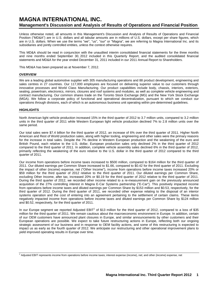# **MAGNA INTERNATIONAL INC. Management's Discussion and Analysis of Results of Operations and Financial Position**

Unless otherwise noted, all amounts in this Management's Discussion and Analysis of Results of Operations and Financial Position ("MD&A") are in U.S. dollars and all tabular amounts are in millions of U.S. dollars, except per share figures, which are in U.S. dollars. When we use the terms "we", "us", "our" or "Magna", we are referring to Magna International Inc. and its subsidiaries and jointly controlled entities, unless the context otherwise requires.

This MD&A should be read in conjunction with the unaudited interim consolidated financial statements for the three months and nine months ended September 30, 2012 included in this Quarterly Report, and the audited consolidated financial statements and MD&A for the year ended December 31, 2011 included in our 2011 Annual Report to Shareholders.

This MD&A has been prepared as at November 7, 2012.

#### **OVERVIEW**

We are a leading global automotive supplier with 305 manufacturing operations and 88 product development, engineering and sales centres in 27 countries. Our 117,000 employees are focused on delivering superior value to our customers through innovative processes and World Class Manufacturing. Our product capabilities include body, chassis, interiors, exteriors, seating, powertrain, electronics, mirrors, closures and roof systems and modules, as well as complete vehicle engineering and contract manufacturing. Our common shares trade on the Toronto Stock Exchange (MG) and the New York Stock Exchange (MGA). We follow a corporate policy of functional and operational decentralization, pursuant to which we conduct our operations through divisions, each of which is an autonomous business unit operating within pre-determined guidelines.

#### **HIGHLIGHTS**

North American light vehicle production increased 15% in the third quarter of 2012 to 3.7 million units, compared to 3.2 million units in the third quarter of 2011 while Western European light vehicle production declined 7% to 2.8 million units over the same period.

Our total sales were \$7.4 billion for the third quarter of 2012, an increase of 6% over the third quarter of 2011. Higher North American and Rest of World production sales, along with higher tooling, engineering and other sales were the primary reasons for the increase in total sales. Despite the 7% decline in Western European production and the weakening of the euro and British Pound, each relative to the U.S. dollar, European production sales only declined 2% in the third quarter of 2012 compared to the third quarter of 2011. In addition, complete vehicle assembly sales declined 6% in the third quarter of 2012, primarily reflecting the weakening of the euro relative to the U.S. dollar in the third quarter of 2012 compared to the third quarter of 2011.

Our income from operations before income taxes increased to \$500 million, compared to \$164 million for the third quarter of 2011. Our diluted earnings per Common Share increased to \$1.66, compared to \$0.42 for the third quarter of 2011. Excluding the impact of other (income) expense, net ("Other Income"), income from operations before income taxes increased 20% or \$59 million for the third quarter of 2012 relative to the third quarter of 2011. Our diluted earnings per Common Share, excluding Other Income, after tax, increased 20% or \$0.19 for the third quarter of 2012 relative to the third quarter of 2011. During the third quarter of 2012, we recorded other income related to a re-measurement gain on the previously announced acquisition of the 27% controlling interest in Magna E-Car Systems partnership ("E-Car"). This positively impacted income from operations before income taxes and diluted earnings per Common Share by \$153 million and \$0.53, respectively, for the third quarter of 2012. During the third quarter of 2011, we recorded other expense relating to the disposal of an interior systems operation and the cost of entering into an agreement pertaining to the settlement of certain claims. These items negatively impacted income from operations before income taxes and diluted earnings per Common Share by \$124 million and \$0.52, respectively, for the third quarter of 2011.

In our Europe segment we reported Adjusted  $EBIT<sup>1</sup>$  of \$13 million for the third quarter of 2012, compared to a loss of \$35 million for the third quarter of 2011. We remain cautious about the macroeconomic environment in Europe. In addition, certain of our OEM customers have announced plant closures in Europe, and similar announcements by other customers and their European operations are possible. We expect to take future restructuring actions in Europe, reflecting both our ongoing strategic assessment of our business and in response to OEM facility actions, and some of this restructuring is expected to impact us as early as the fourth quarter of 2012. We anticipate our restructuring and other operational improvement plans to yield improved operating results in Europe over time.

<sup>1</sup> Adjusted EBIT represents income from operations before income taxes; interest expense (income), net; and other (income) expense, net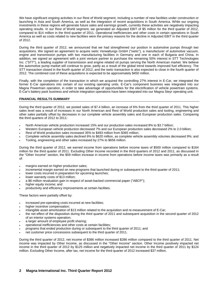We have significant ongoing activities in our Rest of World segment, including a number of new facilities under construction or launching in Asia and South America, as well as the integration of recent acquisitions in South America. While our ongoing investments in these regions will generate future sales and earnings growth, currently these activities are negatively impacting operating results. In our Rest of World segment, we generated an Adjusted EBIT of \$5 million for the third quarter of 2012, compared to \$14 million in the third quarter of 2011. Operational inefficiencies and other costs in certain operations in South America as well as costs related to new facilities were the primary reasons for the decline in Adjusted EBIT in the third quarter of 2012.

During the third quarter of 2012, we announced that we had strengthened our position in automotive pumps through two acquisitions. We signed an agreement to acquire ixetic Verwaltungs GmbH ("ixetic"), a manufacturer of automotive vacuum, engine and transmission pumps with two manufacturing facilities in Germany and one in each of Bulgaria and China. In addition, we signed an agreement with a joint venture partner to purchase the remaining 50% interest in STT Technologies Inc. ("STT"), a leading supplier of transmission and engine related oil pumps serving the North American market. We believe the automotive pump market will continue to grow, partly as a result of the global trend towards improved fuel efficiency. The STT transaction closed in the fourth quarter of 2012, and the ixetic transaction is also expected to close in the fourth quarter of 2012. The combined cost of these acquisitions is expected to be approximately \$450 million.

Finally, with the completion of the transaction in which we acquired the controlling 27% interest in E-Car, we integrated the former E-Car operations into certain of our existing operating units. E-Car's component business was integrated into our Magna Powertrain operation, in order to take advantage of opportunities for the electrification of vehicle powertrain systems. E-Car's battery pack business and vehicle integration operations have been integrated into our Magna Steyr operating unit.

#### **FINANCIAL RESULTS SUMMARY**

During the third quarter of 2012, we posted sales of \$7.4 billion, an increase of 6% from the third quarter of 2011. This higher sales level was a result of increases in our North American and Rest of World production sales and tooling, engineering and other sales partially offset by decreases in our complete vehicle assembly sales and European production sales. Comparing the third quarters of 2012 to 2011:

- North American vehicle production increased 15% and our production sales increased 8% to \$3.7 billion;
- Western European vehicle production decreased 7% and our European production sales decreased 2% to 2.0 billion;
- Rest of World production sales increased 35% to \$493 million from \$365 million;
- Complete vehicle assembly sales declined 6% to \$620 million, as complete vehicle assembly volumes decreased 9%; and
- Tooling, engineering and other sales increased by 27% to \$656 million.

During the third quarter of 2012, we earned income from operations before income taxes of \$500 million compared to \$164 million for the third quarter of 2011. Excluding Other Income recorded in the third quarters of 2012 and 2011, as discussed in the "Other Income" section, the \$59 million increase in income from operations before income taxes was primarily as a result of:

- margins earned on higher production sales;
- incremental margin earned on new programs that launched during or subsequent to the third quarter of 2011;
- lower costs incurred in preparation for upcoming launches;
- lower warranty costs of \$13 million;
- a \$6 million revaluation gain in respect of asset-backed commercial paper ("ABCP");
- higher equity income; and
- productivity and efficiency improvements at certain facilities.

These factors were partially offset by:

- increased pre-operating costs incurred at new facilities;
- higher incentive compensation;
- intangible asset amortization of \$13 million related to the acquisition and re-measurement of E-Car;
- the net effect of the disposition during the third quarter of 2011 and subsequent acquisition in the second quarter of 2012 of an interior systems operation;
- a larger amount of employee profit sharing;
- operational inefficiencies and other costs at certain facilities;
- programs that ended production during or subsequent to the third quarter of 2011; and
- net customer price concessions subsequent to the third quarter of 2011.

During the third quarter of 2012, net income of \$386 million increased \$286 million compared to the third quarter of 2011. Net income was impacted by Other Income, as discussed in the "Other Income" section. Other Income positively impacted net income in the third quarter of 2012 by \$125 million and negatively impacted net income in the third quarter of 2011 by \$124 million. Excluding Other Income, after tax, net income for the third quarter of 2012 increased \$37 million.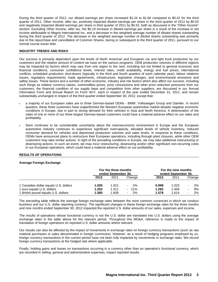During the third quarter of 2012, our diluted earnings per share increased \$1.24 to \$1.66 compared to \$0.42 for the third quarter of 2011. Other Income, after tax, positively impacted diluted earnings per share in the third quarter of 2012 by \$0.53 and negatively impacted diluted earnings per share in third quarter of 2011 by \$0.52, both as discussed in the "Other Income" section. Excluding Other Income, after tax, the \$0.19 increase in diluted earnings per share is a result of the increase in net income attributable to Magna International Inc. and a decrease in the weighted average number of diluted shares outstanding during the third quarter of 2012. The decrease in the weighted average number of diluted shares outstanding was primarily due to the repurchase and cancellation of Common Shares, during or subsequent to the third quarter of 2011, pursuant to our normal course issuer bids.

#### **INDUSTRY TRENDS AND RISKS**

Our success is primarily dependent upon the levels of North American and European car and light truck production by our customers and the relative amount of content we have on the various programs. OEM production volumes in different regions may be impacted by factors which may vary from one region to the next, including but not limited to general economic and financial conditions, consumer confidence levels, interest rates, credit availability, energy and fuel prices, international conflicts, scheduled production shut-downs (typically in the third and fourth quarters of each calendar year), labour relations issues, regulatory requirements, trade agreements, infrastructure, legislative changes, and environmental emissions and safety issues. These factors and a number of other economic, industry and risk factors which also affect our success, including such things as relative currency values, commodities prices, price concessions and other price reduction pressures from our customers, the financial condition of our supply base and competition from other suppliers, are discussed in our Annual Information Form and Annual Report on Form 40-F, each in respect of the year ended December 31, 2011, and remain substantially unchanged in respect of the third quarter ended September 30, 2012, except that:

- a majority of our European sales are to three German-based OEMs BMW, Volkswagen Group and Daimler. In recent quarters, these three customers have outperformed the Western European automotive market despite negative economic conditions in Europe, due in part to strong demand for their vehicles in Asia and North America. A deterioration of the sales of one or more of our three largest German-based customers could have a material adverse effect on our sales and profitability.
- there continues to be considerable uncertainty about the macroeconomic environment in Europe and the European automotive industry continues to experience significant overcapacity, elevated levels of vehicle inventory, reduced consumer demand for vehicles and depressed production volumes and sales levels. In response to these conditions, OEMs have announced plans to restructure their European operations, including through plant closures, while other OEM customers may take similar actions. In light of the prevailing conditions in Europe, we may take additional restructuring or downsizing actions. In such an event, we may incur restructuring, downsizing and/or other significant non-recurring costs in our European operations, which could have a material adverse effect on our profitability.

#### **RESULTS OF OPERATIONS**

#### **Average Foreign Exchange**

|                                       | For the three months<br>ended September 30, |       |                                 | For the nine months<br>ended September 30, |       |                                |  |
|---------------------------------------|---------------------------------------------|-------|---------------------------------|--------------------------------------------|-------|--------------------------------|--|
|                                       | 2012                                        | 2011  | Change                          | 2012                                       | 2011  | Change                         |  |
| 1 Canadian dollar equals U.S. dollars | 1.005                                       | 1.021 | -2%<br>$\overline{\phantom{0}}$ | 0.998                                      | 1.023 | 2%<br>$\overline{\phantom{0}}$ |  |
| 1 euro equals U.S. dollars            | 1.252                                       | 1.411 | $-11\%$                         | 1.282                                      | 1.406 | 9%<br>۰                        |  |
| 1 British pound equals U.S. dollars   | 1.580                                       | 1.609 | 2%<br>$\blacksquare$            | 1.578                                      | 1.614 | 2%<br>$\overline{\phantom{0}}$ |  |

The preceding table reflects the average foreign exchange rates between the most common currencies in which we conduct business and our U.S. dollar reporting currency. The significant changes in these foreign exchange rates for the three months and nine months ended September 30, 2012 impacted the reported U.S. dollar amounts of our sales, expenses and income.

The results of operations whose functional currency is not the U.S. dollar are translated into U.S. dollars using the average exchange rates in the table above for the relevant period. Throughout this MD&A, reference is made to the impact of translation of foreign operations on reported U.S. dollar amounts where relevant.

Our results can also be affected by the impact of movements in exchange rates on foreign currency transactions (such as raw material purchases or sales denominated in foreign currencies). However, as a result of hedging programs employed by us, foreign currency transactions in the current period have not been fully impacted by movements in exchange rates. We record foreign currency transactions at the hedged rate where applicable.

Finally, holding gains and losses on transactions occurring in a currency other than an operation's functional currency, which are recorded in selling, general and administrative expenses, impact reported results.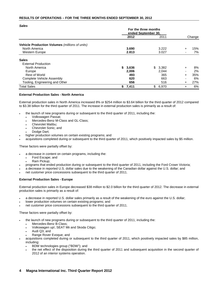#### **RESULTS OF OPERATIONS – FOR THE THREE MONTHS ENDED SEPTEMBER 30, 2012**

*Sales*

|                                                | For the three months<br>ended September 30, |       |    |       |           |        |
|------------------------------------------------|---------------------------------------------|-------|----|-------|-----------|--------|
|                                                |                                             | 2012  |    | 2011  |           | Change |
| Vehicle Production Volumes (millions of units) |                                             |       |    |       |           |        |
| North America                                  |                                             | 3.690 |    | 3.222 | $\ddot{}$ | 15%    |
| <b>Western Europe</b>                          |                                             | 2.813 |    | 3.027 |           | 7%     |
| <b>Sales</b>                                   |                                             |       |    |       |           |        |
| <b>External Production</b>                     |                                             |       |    |       |           |        |
| North America                                  | S.                                          | 3,636 | \$ | 3,382 | $\ddot{}$ | 8%     |
| Europe                                         |                                             | 2,006 |    | 2.044 |           | 2%     |
| Rest of World                                  |                                             | 493   |    | 365   | $\pm$     | 35%    |
| Complete Vehicle Assembly                      |                                             | 620   |    | 663   | -         | 6%     |
| Tooling, Engineering and Other                 |                                             | 656   |    | 516   | $\pm$     | 27%    |
| <b>Total Sales</b>                             | \$                                          | 7,411 | \$ | 6,970 | $\ddot{}$ | 6%     |

#### **External Production Sales - North America**

External production sales in North America increased 8% or \$254 million to \$3.64 billion for the third quarter of 2012 compared to \$3.38 billion for the third quarter of 2011. The increase in external production sales is primarily as a result of:

- the launch of new programs during or subsequent to the third quarter of 2011, including the:
	- Volkswagen Passat;
	- Mercedes-Benz M-Class and GL-Class;
	- Chevrolet Malibu;
	- Chevrolet Sonic; and
	- Dodge Dart;
- higher production volumes on certain existing programs; and
- acquisitions completed during or subsequent to the third quarter of 2011, which positively impacted sales by \$5 million.

These factors were partially offset by:

- a decrease in content on certain programs, including the:
	- Ford Escape; and
	- Ram Pickup;
- programs that ended production during or subsequent to the third quarter of 2011, including the Ford Crown Victoria;
- a decrease in reported U.S. dollar sales due to the weakening of the Canadian dollar against the U.S. dollar; and
- net customer price concessions subsequent to the third quarter of 2011.

#### **External Production Sales - Europe**

External production sales in Europe decreased \$38 million to \$2.0 billion for the third quarter of 2012. The decrease in external production sales is primarily as a result of:

- a decrease in reported U.S. dollar sales primarily as a result of the weakening of the euro against the U.S. dollar;
- lower production volumes on certain existing programs; and
- net customer price concessions subsequent to the third quarter of 2011.

These factors were partially offset by:

- the launch of new programs during or subsequent to the third quarter of 2011, including the:
	- Mercedes-Benz B-Class;
	- Volkswagen up!, SEAT Mii and Skoda Citigo;
	- Audi Q3; and
	- Range Rover Evoque; and
- acquisitions completed during or subsequent to the third quarter of 2011, which positively impacted sales by \$85 million, including:
	- BDW technologies group ("BDW"); and
	- the net effect of the disposition during the third quarter of 2011 and subsequent acquisition in the second quarter of 2012 of an interior systems operation.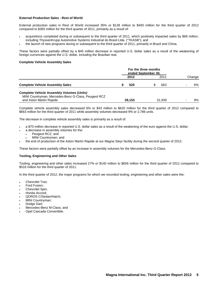#### **External Production Sales - Rest of World**

External production sales in Rest of World increased 35% or \$128 million to \$493 million for the third quarter of 2012 compared to \$365 million for the third quarter of 2011, primarily as a result of:

- acquisitions completed during or subsequent to the third quarter of 2011, which positively impacted sales by \$68 million, including ThyssenKrupp Automotive Systems Industrial do Brasil Ltda. ("TKASB"); and
- the launch of new programs during or subsequent to the third quarter of 2011, primarily in Brazil and China.

These factors were partially offset by a \$45 million decrease in reported U.S. dollar sales as a result of the weakening of foreign currencies against the U.S. dollar, including the Brazilian real.

#### **Complete Vehicle Assembly Sales**

|                                                                                | For the three months<br>ended September 30, |        |  |        |        |
|--------------------------------------------------------------------------------|---------------------------------------------|--------|--|--------|--------|
|                                                                                |                                             | 2012   |  | 2011   | Change |
| <b>Complete Vehicle Assembly Sales</b>                                         |                                             | 620    |  | 663    | 6%     |
| <b>Complete Vehicle Assembly Volumes (Units)</b>                               |                                             |        |  |        |        |
| MINI Countryman, Mercedes-Benz G-Class, Peugeot RCZ<br>and Aston Martin Rapide |                                             | 29.153 |  | 31.939 | 9%     |

Complete vehicle assembly sales decreased 6% or \$43 million to \$620 million for the third quarter of 2012 compared to \$663 million for the third quarter of 2011 while assembly volumes decreased 9% or 2,786 units.

The decrease in complete vehicle assembly sales is primarily as a result of:

- a \$70 million decrease in reported U.S. dollar sales as a result of the weakening of the euro against the U.S. dollar;
- a decrease in assembly volumes for the:
	- Peugeot RCZ; and
	- MINI Countryman; and
- the end of production of the Aston Martin Rapide at our Magna Steyr facility during the second quarter of 2012.

These factors were partially offset by an increase in assembly volumes for the Mercedes-Benz G-Class.

#### **Tooling, Engineering and Other Sales**

Tooling, engineering and other sales increased 27% or \$140 million to \$656 million for the third quarter of 2012 compared to \$516 million for the third quarter of 2011.

In the third quarter of 2012, the major programs for which we recorded tooling, engineering and other sales were the:

- Chevrolet Trax;
- Ford Fusion;
- Chevrolet Spin;
- Honda Accord;
- QOROS C/Sedan/Hatch;
- MINI Countryman;
- Dodge Dart;
- Mercedes-Benz M-Class; and
- Opel Cascada Convertible.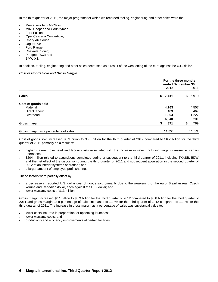In the third quarter of 2011, the major programs for which we recorded tooling, engineering and other sales were the:

- Mercedes-Benz M-Class;
- MINI Cooper and Countryman;
- Ford Fusion;
- Opel Cascada Convertible;
- Chery A6 Coupe;
- Jaguar XJ;
- Ford Ranger;
- Chevrolet Sonic;
- Peugeot RCZ; and
- BMW X3.

In addition, tooling, engineering and other sales decreased as a result of the weakening of the euro against the U.S. dollar.

#### *Cost of Goods Sold and Gross Margin*

|                                       |           | For the three months<br>ended September 30, |
|---------------------------------------|-----------|---------------------------------------------|
|                                       | 2012      | 2011                                        |
| <b>Sales</b>                          | \$7,411   | \$<br>6,970                                 |
| Cost of goods sold                    |           |                                             |
| Material                              | 4,763     | 4,507                                       |
| Direct labour                         | 483       | 467                                         |
| Overhead                              | 1,294     | 1,227                                       |
|                                       | 6,540     | 6,201                                       |
| Gross margin                          | 871<br>\$ | 769                                         |
| Gross margin as a percentage of sales | 11.8%     | 11.0%                                       |

Cost of goods sold increased \$0.3 billion to \$6.5 billion for the third quarter of 2012 compared to \$6.2 billion for the third quarter of 2011 primarily as a result of:

- higher material, overhead and labour costs associated with the increase in sales, including wage increases at certain operations;
- \$204 million related to acquisitions completed during or subsequent to the third quarter of 2011, including TKASB, BDW and the net effect of the disposition during the third quarter of 2011 and subsequent acquisition in the second quarter of 2012 of an interior systems operation ; and
- a larger amount of employee profit sharing.

These factors were partially offset by:

- a decrease in reported U.S. dollar cost of goods sold primarily due to the weakening of the euro, Brazilian real, Czech koruna and Canadian dollar, each against the U.S. dollar; and
- lower warranty costs of \$13 million.

Gross margin increased \$0.1 billion to \$0.9 billion for the third quarter of 2012 compared to \$0.8 billion for the third quarter of 2011 and gross margin as a percentage of sales increased to 11.8% for the third quarter of 2012 compared to 11.0% for the third quarter of 2011. The increase in gross margin as a percentage of sales was substantially due to:

- lower costs incurred in preparation for upcoming launches;
- lower warranty costs; and
- productivity and efficiency improvements at certain facilities.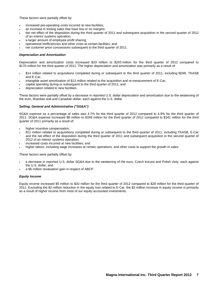These factors were partially offset by:

- increased pre-operating costs incurred at new facilities;
- an increase in tooling sales that have low or no margins;
- the net effect of the disposition during the third quarter of 2011 and subsequent acquisition in the second quarter of 2012 of an interior systems operation;
- a larger amount of employee profit sharing;
- operational inefficiencies and other costs at certain facilities; and
- net customer price concessions subsequent to the third quarter of 2011.

#### *Depreciation and Amortization*

Depreciation and amortization costs increased \$33 million to \$203 million for the third quarter of 2012 compared to \$170 million for the third quarter of 2011. The higher depreciation and amortization was primarily as a result of:

- \$14 million related to acquisitions completed during or subsequent to the third quarter of 2011, including BDW, TKASB and E-Car;
- intangible asset amortization of \$13 million related to the acquisition and re-measurement of E-Car;
- capital spending during or subsequent to the third quarter of 2011; and
- depreciation related to new facilities.

These factors were partially offset by a decrease in reported U.S. dollar depreciation and amortization due to the weakening of the euro, Brazilian real and Canadian dollar, each against the U.S. dollar.

#### *Selling, General and Administrative ("SG&A")*

SG&A expense as a percentage of sales was 4.7% for the third quarter of 2012 compared to 4.9% for the third quarter of 2011. SG&A expense increased \$8 million to \$349 million for the third quarter of 2012 compared to \$341 million for the third quarter of 2011 primarily as a result of:

- higher incentive compensation;
- \$12 million related to acquisitions completed during or subsequent to the third quarter of 2011, including TKASB, E-Car and the net effect of the disposition during the third quarter of 2011 and subsequent acquisition in the second quarter of 2012 of an interior systems operation;
- increased costs incurred at new facilities; and
- higher labour, including wage increases at certain operations, and other costs to support the growth in sales.

These factors were partially offset by:

- a decrease in reported U.S. dollar SG&A due to the weakening of the euro, Czech koruna and Polish zloty, each against the U.S. dollar; and
- a \$6 million revaluation gain in respect of ABCP.

#### *Equity Income*

Equity income increased \$5 million to \$33 million for the third quarter of 2012 compared to \$28 million for the third quarter of 2011. Excluding the \$2 million reduction in the equity loss related to E-Car, the \$3 million increase in equity income is primarily as a result of higher income from most of our equity accounted investments.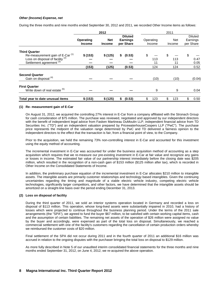#### *Other (Income) Expense, net*

During the three months and nine months ended September 30, 2012 and 2011, we recorded Other Income items as follows:

|                                                                                                                                                           |                                   | 2012                        |                                                |                        | 2011                   |                                         |
|-----------------------------------------------------------------------------------------------------------------------------------------------------------|-----------------------------------|-----------------------------|------------------------------------------------|------------------------|------------------------|-----------------------------------------|
|                                                                                                                                                           | <b>Operating</b><br><b>Income</b> | <b>Net</b><br><b>Income</b> | <b>Diluted</b><br><b>Earnings</b><br>per Share | Operating<br>Income    | <b>Net</b><br>Income   | <b>Diluted</b><br>Earnings<br>per Share |
| <b>Third Quarter</b><br>Re-measurement gain of E-Car <sup>(1)</sup><br>Loss on disposal of facility <sup>(2)</sup><br>Settlement agreement <sup>(3)</sup> | \$(153)<br>(153)                  | \$(125)<br>(125)            | (0.53)<br>\$<br>(0.53)                         | \$<br>113<br>11<br>124 | \$<br>113<br>11<br>124 | \$<br>0.47<br>0.05<br>0.52              |
| <b>Second Quarter</b><br>Gain on disposal (4)                                                                                                             |                                   |                             |                                                | (10)                   | (10)                   | (0.04)                                  |
| <b>First Quarter</b><br>Write down of real estate (5)                                                                                                     |                                   |                             |                                                | 9                      | 9                      | 0.04                                    |
| Total year to date unusual items                                                                                                                          | \$(153)                           | \$(125)                     | (0.53)<br>\$                                   | \$<br>123              | \$<br>123              | 0.50<br>\$.                             |

#### **(1) Re- measurement gain of E-Car**

On August 31, 2012, we acquired the controlling 27% interest in E-Car from a company affiliated with the Stronach Group for cash consideration of \$75 million. The purchase was reviewed, negotiated and approved by our independent directors with the benefit of independent legal advice from Fasken Martineau DuMoulin LLP, independent financial advice from TD Securities Inc. ("TD") and an independent valuation prepared by PricewaterhouseCoopers LLP ("PwC"). The purchase price represents the midpoint of the valuation range determined by PwC and TD delivered a fairness opinion to the independent directors to the effect that the transaction is fair, from a financial point of view, to the Company.

Prior to the acquisition, we held the remaining 73% non-controlling interest in E-Car and accounted for this investment using the equity method of accounting.

The incremental investment in E-Car was accounted for under the business acquisition method of accounting as a step acquisition which requires that we re-measure our pre-existing investment in E-Car at fair value and recognize any gains or losses in income. The estimated fair value of our partnership interest immediately before the closing date was \$205 million, which resulted in the recognition of a non-cash gain of \$153 million (\$125 million after tax), which is recorded in Other Income on the Consolidated Statements of Income.

In addition, the preliminary purchase equation of the incremental investment in E-Car allocates \$210 million to intangible assets. The intangible assets are primarily customer relationships and technology based intangibles. Given the continuing uncertainties regarding the timing and magnitude of a viable electric vehicle industry, competing electric vehicle technologies, significantly larger competitors, and other factors, we have determined that the intangible assets should be amortized on a straight-line basis over the period ending December 31, 2013.

#### **(2) Loss on disposal of facility**

During the third quarter of 2011, we sold an interior systems operation located in Germany and recorded a loss on disposal of \$113 million. This operation, whose long-lived assets were substantially impaired in 2010, had a history of losses which were projected to continue throughout the business planning period. Under the terms of the 2011 sale arrangements (the "SPA"), we agreed to fund the buyer \$67 million, to be satisfied with certain working capital items, cash and the assumption of certain liabilities. The remaining net assets of the operation of \$26 million were assigned no value by the buyer and accordingly, were expensed as part of the total loss on disposal. Simultaneously, we reached a commercial settlement with one of the facility's customers regarding the cancellation of certain production orders whereby we reimbursed the customer costs of \$20 million.

Final settlement of the SPA did not occur during 2011 and in the fourth quarter of 2011 an additional \$16 million was accrued in relation to the ongoing disputes with the purchaser bringing the total loss on disposal to \$129 million.

As more fully described in Note 5 of our unaudited interim consolidated financial statements for the three months and nine months ended September 31, 2012, on June 4, 2012, we re-acquired the above operation.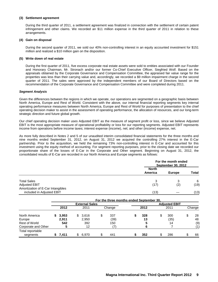#### **(3) Settlement agreement**

During the third quarter of 2011, a settlement agreement was finalized in connection with the settlement of certain patent infringement and other claims. We recorded an \$11 million expense in the third quarter of 2011 in relation to these arrangements.

#### **(4) Gain on disposal**

During the second quarter of 2011, we sold our 40% non-controlling interest in an equity accounted investment for \$151 million and realized a \$10 million gain on the disposition.

#### **(5) Write down of real estate**

During the first quarter of 2011, five excess corporate real estate assets were sold to entities associated with our Founder and Honorary Chairman, Mr. Stronach and/or our former Co-Chief Executive Officer, Siegfried Wolf. Based on the appraisals obtained by the Corporate Governance and Compensation Committee, the appraised fair value range for the properties was less than their carrying value and, accordingly, we recorded a \$9 million impairment charge in the second quarter of 2011. The sales were approved by the independent members of our Board of Directors based on the recommendation of the Corporate Governance and Compensation Committee and were completed during 2011.

#### *Segment Analysis*

Given the differences between the regions in which we operate, our operations are segmented on a geographic basis between North America, Europe and Rest of World. Consistent with the above, our internal financial reporting segments key internal operating performance measures between North America, Europe and Rest of World for purposes of presentation to the chief operating decision maker to assist in the assessment of operating performance, the allocation of resources, and our long-term strategic direction and future global growth.

Our chief operating decision maker uses Adjusted EBIT as the measure of segment profit or loss, since we believe Adjusted EBIT is the most appropriate measure of operational profitability or loss for our reporting segments. Adjusted EBIT represents income from operations before income taxes; interest expense (income), net; and other (income) expense, net.

As more fully described in Notes 2 and 5 of our unaudited interim consolidated financial statements for the three months and nine months ended September 31, 2012, on August 31, 2012 we acquired the controlling 27% interest in the E-Car partnership. Prior to the acquisition, we held the remaining 73% non-controlling interest in E-Car and accounted for this investment using the equity method of accounting. For segment reporting purposes, prior to the closing date we recorded our proportionate share of the losses of E-Car in the Corporate and Other segment. Beginning on August 31, 2012, the consolidated results of E-Car are recorded in our North America and Europe segments as follows:

|                                   |              | For the month ended<br>September 30, 2012 |              |  |  |  |
|-----------------------------------|--------------|-------------------------------------------|--------------|--|--|--|
|                                   | <b>North</b> |                                           |              |  |  |  |
|                                   | America      | <b>Europe</b>                             | <b>Total</b> |  |  |  |
| <b>Total Sales</b>                | 3            |                                           | 6            |  |  |  |
| <b>Adjusted EBIT</b>              | (17)         | $\left( 2\right)$                         | (19)         |  |  |  |
| Amortization of E-Car Intangibles |              |                                           |              |  |  |  |
| included in Adjusted EBIT         | (13)         |                                           | (13)         |  |  |  |

|                              |       |    |                       |    | For the three months ended September 30, |      |                      |          |
|------------------------------|-------|----|-----------------------|----|------------------------------------------|------|----------------------|----------|
|                              |       |    | <b>External Sales</b> |    |                                          |      | <b>Adjusted EBIT</b> |          |
|                              | 2012  |    | 2011                  |    | Change                                   | 2012 | 2011                 | Change   |
| North America                | 3,953 | S. | 3,616                 | \$ | 337                                      | 328  | \$<br>300            | \$<br>28 |
| Europe                       | 2.911 |    | 2,950                 |    | (39)                                     | 13   | (35)                 | 48       |
| <b>Rest of World</b>         | 542   |    | 392                   |    | 150                                      | 5    | 14                   | (9)      |
| Corporate and Other          |       |    | 12                    |    |                                          | 6    |                      | (1)      |
| Total reportable<br>segments | 7.411 |    | 6.970                 | S  | 441                                      | 352  | \$<br>286            | 66       |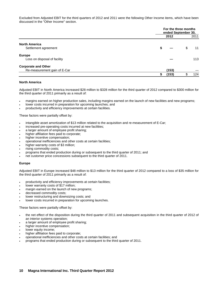Excluded from Adjusted EBIT for the third quarters of 2012 and 2011 were the following Other Income items, which have been discussed in the "Other Income" section.

|                                                            |       | For the three months<br>ended September 30, |      |  |  |  |
|------------------------------------------------------------|-------|---------------------------------------------|------|--|--|--|
|                                                            | 2012  |                                             | 2011 |  |  |  |
| <b>North America</b><br>Settlement agreement               | S.    | \$                                          | 11   |  |  |  |
| <b>Europe</b><br>Loss on disposal of facility              |       |                                             | 113  |  |  |  |
| <b>Corporate and Other</b><br>Re-measurement gain of E-Car | (153) |                                             |      |  |  |  |
|                                                            | (153) |                                             | 124  |  |  |  |

#### **North America**

Adjusted EBIT in North America increased \$28 million to \$328 million for the third quarter of 2012 compared to \$300 million for the third quarter of 2011 primarily as a result of:

- margins earned on higher production sales, including margins earned on the launch of new facilities and new programs;
- lower costs incurred in preparation for upcoming launches; and
- productivity and efficiency improvements at certain facilities.

These factors were partially offset by:

- intangible asset amortization of \$13 million related to the acquisition and re-measurement of E-Car;
- increased pre-operating costs incurred at new facilities;
- a larger amount of employee profit sharing;
- higher affiliation fees paid to corporate;
- higher incentive compensation;
- operational inefficiencies and other costs at certain facilities;
- higher warranty costs of \$3 million;
- rising commodity costs;
- programs that ended production during or subsequent to the third quarter of 2011; and
- net customer price concessions subsequent to the third quarter of 2011.

#### **Europe**

Adjusted EBIT in Europe increased \$48 million to \$13 million for the third quarter of 2012 compared to a loss of \$35 million for the third quarter of 2011 primarily as a result of:

- productivity and efficiency improvements at certain facilities;
- lower warranty costs of \$17 million;
- margin earned on the launch of new programs;
- decreased commodity costs;
- lower restructuring and downsizing costs; and
- lower costs incurred in preparation for upcoming launches.

These factors were partially offset by:

- the net effect of the disposition during the third quarter of 2011 and subsequent acquisition in the third quarter of 2012 of an interior systems operation;
- a larger amount of employee profit sharing;
- higher incentive compensation;
- lower equity income;
- higher affiliation fees paid to corporate;
- operational inefficiencies and other costs at certain facilities; and
- programs that ended production during or subsequent to the third quarter of 2011.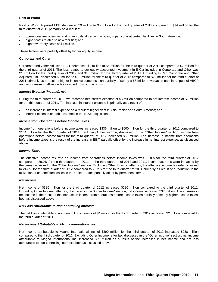#### **Rest of World**

Rest of World Adjusted EBIT decreased \$9 million to \$5 million for the third quarter of 2012 compared to \$14 million for the third quarter of 2011 primarily as a result of:

- operational inefficiencies and other costs at certain facilities, in particular at certain facilities in South America;
- higher costs related to new facilities; and
- higher warranty costs of \$1 million.

These factors were partially offset by higher equity income.

#### **Corporate and Other**

Corporate and Other Adjusted EBIT decreased \$1 million to \$6 million for the third quarter of 2012 compared to \$7 million for the third quarter of 2011. The loss related to our equity accounted investment in E-Car included in Corporate and Other was \$13 million for the third quarter of 2012 and \$15 million for the third quarter of 2011. Excluding E-Car, Corporate and Other Adjusted EBIT decreased \$3 million to \$19 million for the third quarter of 2012 compared to \$22 million for the third quarter of 2011 primarily as a result of higher incentive compensation partially offset by a \$6 million revaluation gain in respect of ABCP and an increase in affiliation fees earned from our divisions.

#### *Interest Expense (Income), net*

During the third quarter of 2012, we recorded net interest expense of \$5 million compared to net interest income of \$2 million for the third quarter of 2011. The increase in interest expense is primarily as a result of:

- an increase in interest expense as a result of higher debt in Asia Pacific and South America; and
- interest expense on debt assumed in the BDW acquisition.

#### *Income from Operations before Income Taxes*

Income from operations before income taxes increased \$336 million to \$500 million for the third quarter of 2012 compared to \$164 million for the third quarter of 2011. Excluding Other Income, discussed in the "Other Income" section, income from operations before income taxes for the third quarter of 2012 increased \$59 million. The increase in income from operations before income taxes is the result of the increase in EBIT partially offset by the increase in net interest expense, as discussed above.

#### *Income Taxes*

The effective income tax rate on income from operations before income taxes was 22.8% for the third quarter of 2012 compared to 39.0% for the third quarter of 2011. In the third quarters of 2012 and 2011, income tax rates were impacted by the items discussed in the "Other Income" section. Excluding Other Income, after tax, the effective income tax rate increased to 24.8% for the third quarter of 2012 compared to 22.2% for the third quarter of 2011 primarily as result of a reduction in the utilization of unbenefitted losses in the United States partially offset by permanent items.

#### *Net Income*

Net income of \$386 million for the third quarter of 2012 increased \$286 million compared to the third quarter of 2011. Excluding Other Income, after tax, discussed in the "Other Income" section, net income increased \$37 million. The increase in net income is the result of the increase in income from operations before income taxes partially offset by higher income taxes, both as discussed above.

#### *Net Loss Attributable to Non-controlling Interests*

The net loss attributable to non-controlling interests of \$4 million for the third quarter of 2012 increased \$2 million compared to the third quarter of 2011.

#### *Net Income Attributable to Magna International Inc.*

Net income attributable to Magna International Inc. of \$390 million for the third quarter of 2012 increased \$288 million compared to the third quarter of 2011. Excluding Other Income, after tax, discussed in the "Other Income" section, net income attributable to Magna International Inc. increased \$39 million as a result of the increases in net income and net loss attributable to non-controlling interests, both as discussed above.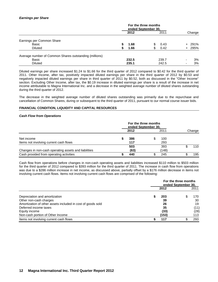#### *Earnings per Share*

|                                                        | For the three months<br>ended September 30, |       |    |       |                          |        |
|--------------------------------------------------------|---------------------------------------------|-------|----|-------|--------------------------|--------|
|                                                        |                                             | 2012  |    | 2011  |                          | Change |
| Earnings per Common Share                              |                                             |       |    |       |                          |        |
| Basic                                                  |                                             | 1.68  | S  | 0.43  |                          | + 291% |
| <b>Diluted</b>                                         |                                             | 1.66  | \$ | 0.42  |                          | + 295% |
| Average number of Common Shares outstanding (millions) |                                             |       |    |       |                          |        |
| Basic                                                  |                                             | 232.5 |    | 239.7 | $\overline{\phantom{0}}$ | 3%     |
| <b>Diluted</b>                                         |                                             | 235.1 |    | 242.5 | $\overline{\phantom{0}}$ | 3%     |

Diluted earnings per share increased \$1.24 to \$1.66 for the third quarter of 2012 compared to \$0.42 for the third quarter of 2011. Other Income, after tax, positively impacted diluted earnings per share in the third quarter of 2012 by \$0.53 and negatively impacted diluted earnings per share in third quarter of 2011 by \$0.52, both as discussed in the "Other Income" section. Excluding Other Income, after tax, the \$0.19 increase in diluted earnings per share is a result of the increase in net income attributable to Magna International Inc. and a decrease in the weighted average number of diluted shares outstanding during the third quarter of 2012.

The decrease in the weighted average number of diluted shares outstanding was primarily due to the repurchase and cancellation of Common Shares, during or subsequent to the third quarter of 2011, pursuant to our normal course issuer bids.

#### **FINANCIAL CONDITION, LIQUIDITY AND CAPITAL RESOURCES**

#### *Cash Flow from Operations*

|                                                      |  | 2012       | 2011       |  | Change |
|------------------------------------------------------|--|------------|------------|--|--------|
| Net income                                           |  | 386        | 100        |  |        |
| Items not involving current cash flows               |  | 117<br>503 | 293<br>393 |  | 110    |
| Changes in non-cash operating assets and liabilities |  | (63)       | (148)      |  |        |
| Cash provided from operating activities              |  | 440        | 245        |  | 195    |

Cash flow from operations before changes in non-cash operating assets and liabilities increased \$110 million to \$503 million for the third quarter of 2012 compared to \$393 million for the third quarter of 2011. The increase in cash flow from operations was due to a \$286 million increase in net income, as discussed above, partially offset by a \$176 million decrease in items not involving current cash flows. Items not involving current cash flows are comprised of the following:

|                                                             | For the three months<br>ended September 30. |  |      |  |  |  |
|-------------------------------------------------------------|---------------------------------------------|--|------|--|--|--|
|                                                             | 2012                                        |  | 2011 |  |  |  |
| Depreciation and amortization                               | 203                                         |  | 170  |  |  |  |
| Other non-cash charges                                      | 39                                          |  | 30   |  |  |  |
| Amortization of other assets included in cost of goods sold | 26                                          |  | 19   |  |  |  |
| Deferred income taxes                                       | 35                                          |  | (11) |  |  |  |
| Equity income                                               | (33)                                        |  | (28) |  |  |  |
| Non-cash portion of Other Income                            | (153)                                       |  | 113  |  |  |  |
| Items not involving current cash flows                      | 117                                         |  | 293  |  |  |  |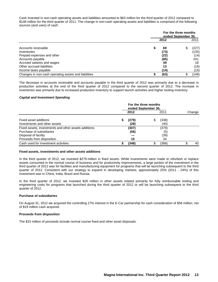Cash invested in non-cash operating assets and liabilities amounted to \$63 million for the third quarter of 2012 compared to \$148 million for the third quarter of 2011. The change in non-cash operating assets and liabilities is comprised of the following sources (and uses) of cash:

|                                                      | For the three months<br>ended September 30, |      |   |       |  |  |
|------------------------------------------------------|---------------------------------------------|------|---|-------|--|--|
|                                                      |                                             | 2012 |   | 2011  |  |  |
| Accounts receivable                                  |                                             | 69   | S | (227) |  |  |
| Inventories                                          |                                             | (73) |   | (135) |  |  |
| Prepaid expenses and other                           |                                             | (22) |   | (14)  |  |  |
| Accounts payable                                     |                                             | (85) |   | 241   |  |  |
| Accrued salaries and wages                           |                                             | 49   |   | 18    |  |  |
| Other accrued liabilities                            |                                             | 13   |   | (16)  |  |  |
| Income taxes payable                                 |                                             | (14) |   | (15)  |  |  |
| Changes in non-cash operating assets and liabilities |                                             | (63) |   | (148) |  |  |

The decrease in accounts receivable and accounts payable in the third quarter of 2012 was primarily due to a decrease in production activities at the end of the third quarter of 2012 compared to the second quarter of 2012. The increase in inventories was primarily due to increased production inventory to support launch activities and higher tooling inventory.

#### *Capital and Investment Spending*

|                                                                                                                                       |  | 2012                | 2011                       | Change |
|---------------------------------------------------------------------------------------------------------------------------------------|--|---------------------|----------------------------|--------|
| Fixed asset additions<br>Investments and other assets                                                                                 |  | (279)<br>(28)       | \$<br>(338)<br>(40)        |        |
| Fixed assets, investments and other assets additions<br>Purchase of subsidiaries<br>Disposal of facility<br>Proceeds from disposition |  | (307)<br>(56)<br>15 | (378)<br>(5)<br>(39)<br>34 |        |
| Cash used for investment activities                                                                                                   |  | (348)               | \$<br>(388)                | 40     |

#### **Fixed assets, investments and other assets additions**

In the third quarter of 2012, we invested \$279 million in fixed assets. While investments were made to refurbish or replace assets consumed in the normal course of business and for productivity improvements, a large portion of the investment in the third quarter of 2012 was for facilities and manufacturing equipment for programs that will be launching subsequent to the third quarter of 2012. Consistent with our strategy to expand in developing markets, approximately 25% (2011 - 24%) of this investment was in China, India, Brazil and Russia.

In the third quarter of 2012, we invested \$28 million in other assets related primarily for fully reimbursable tooling and engineering costs for programs that launched during the third quarter of 2012 or will be launching subsequent to the third quarter of 2012.

#### **Purchase of subsidiaries**

On August 31, 2012 we acquired the controlling 27% interest in the E-Car partnership for cash consideration of \$56 million, net of \$19 million cash acquired.

#### **Proceeds from disposition**

The \$15 million of proceeds include normal course fixed and other asset disposals.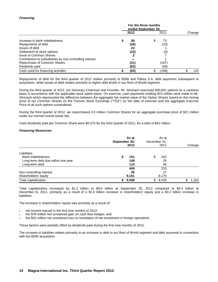#### *Financing*

|                                                          |  | 2012 | 2011        | Change |
|----------------------------------------------------------|--|------|-------------|--------|
| Increase in bank indebtedness                            |  | 36   | \$<br>73    |        |
| Repayments of debt                                       |  | (26) | (10)        |        |
| Issues of debt                                           |  | 23   |             |        |
| Settlement of stock options                              |  | (15) | (5)         |        |
| Issue of Common Shares                                   |  |      |             |        |
| Contribution to subsidiaries by non-controlling interest |  |      |             |        |
| Repurchase of Common Shares                              |  | (21) | (197)       |        |
| Dividends paid                                           |  | (62) | (58)        |        |
| Cash used for financing activities                       |  | (63) | \$<br>(188) | 125    |

Repayments of debt for the third quarter of 2012 relates primarily to BDW and Pabsa S.A. debt payments subsequent to acquisition, while issues of debt relates primarily to higher debt levels in our Rest of World segment.

During the third quarter of 2012, our Honorary Chairman and Founder, Mr. Stronach exercised 900,001 options on a cashless basis in accordance with the applicable stock option plans. On exercise, cash payments totalling \$15 million were made to Mr. Stronach which represented the difference between the aggregate fair market value of the Option Shares based on the closing price of our Common Shares on the Toronto Stock Exchange ("TSX") on the date of exercise and the aggregate Exercise Price of all such options surrendered.

During the third quarter of 2012, we repurchased 0.5 million Common Shares for an aggregate purchase price of \$21 million under our normal course issuer bid.

Cash dividends paid per Common Share were \$0.275 for the third quarter of 2012, for a total of \$62 million.

#### *Financing Resources*

|                                    | As at<br>September 30,<br>2012 | As at<br>December 31,<br>2011 | Change      |
|------------------------------------|--------------------------------|-------------------------------|-------------|
| Liabilities                        |                                |                               |             |
| <b>Bank indebtedness</b>           | 151<br>S                       | \$<br>162                     |             |
| Long-term debt due within one year | 148                            | 25                            |             |
| Long-term debt                     | 110                            | 46                            |             |
|                                    | 409                            | 233                           |             |
| Non-controlling interest           | 28                             | 27                            |             |
| Shareholders' equity               | 9,161                          | 8,175                         |             |
| Total capitalization               | 9,598<br>S.                    | 8,435<br>\$                   | 1,163<br>\$ |

Total capitalization increased by \$1.2 billion to \$9.6 billion at September 30, 2012 compared to \$8.4 billion at December 31, 2011, primarily as a result of a \$1.0 billion increase in shareholders' equity and a \$0.2 billion increase in liabilities.

The increase in shareholders' equity was primarily as a result of:

- net income earned in the first nine months of 2012;
- the \$76 million net unrealized gain on cash flow hedges; and
- the \$32 million net unrealized loss on translation of net investment in foreign operations.

These factors were partially offset by dividends paid during the first nine months of 2012.

The increase in liabilities relates primarily to an increase in debt in our Rest of World segment and debt assumed in connection with the BDW acquisition.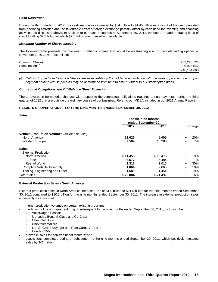#### *Cash Resources*

During the third quarter of 2012, our cash resources increased by \$54 million to \$1.45 billion as a result of the cash provided from operating activities and the favourable effect of foreign exchange partially offset by cash used for investing and financing activities, as discussed above. In addition to our cash resources at September 30, 2012, we had term and operating lines of credit totalling \$2.5 billion of which \$2.1 billion was unused and available.

#### *Maximum Number of Shares Issuable*

The following table presents the maximum number of shares that would be outstanding if all of the outstanding options at November 7, 2012 were exercised:

| <b>Common Shares</b> | 233,228,126 |
|----------------------|-------------|
| Stock options        | 6,926,542   |
|                      | 240,154,668 |

*(i) Options to purchase Common Shares are exercisable by the holder in accordance with the vesting provisions and upon payment of the exercise price as may be determined from time to time pursuant to our stock option plans.*

#### *Contractual Obligations and Off-Balance Sheet Financing*

There have been no material changes with respect to the contractual obligations requiring annual payments during the third quarter of 2012 that are outside the ordinary course of our business. Refer to our MD&A included in our 2011 Annual Report.

#### **RESULTS OF OPERATIONS – FOR THE NINE MONTHS ENDED SEPTEMBER 30, 2012**

| <b>Sales</b>                                   |          |                                            |           |        |
|------------------------------------------------|----------|--------------------------------------------|-----------|--------|
|                                                |          | For the nine months<br>ended September 30. |           |        |
|                                                | 2012     | 2011                                       |           | Change |
| Vehicle Production Volumes (millions of units) |          |                                            |           |        |
| North America                                  | 11.625   | 9.699                                      | ÷         | 20%    |
| <b>Western Europe</b>                          | 9.569    | 10.280                                     |           | 7%     |
| <b>Sales</b>                                   |          |                                            |           |        |
| <b>External Production</b>                     |          |                                            |           |        |
| North America                                  | \$11,458 | \$10,478                                   | $\ddot{}$ | 9%     |
| Europe                                         | 6,577    | 6,484                                      | $\pm$     | 1%     |
| Rest of World                                  | 1,316    | 1,016                                      | $\ddot{}$ | 30%    |
| Complete Vehicle Assembly                      | 1,864    | 2,065                                      |           | 10%    |
| Tooling, Engineering and Other                 | 1,589    | 1,454                                      | $\pm$     | 9%     |
| <b>Total Sales</b>                             | \$22,804 | \$21,497                                   | ÷         | 6%     |

#### **External Production Sales - North America**

External production sales in North America increased 9% or \$1.0 billion to \$11.5 billion for the nine months ended September 30, 2012 compared to \$10.5 billion for the nine months ended September 30, 2011. The increase in external production sales is primarily as a result of:

- higher production volumes on certain existing programs;
- the launch of new programs during or subsequent to the nine months ended September 30, 2011, including the:
	- Volkswagen Passat;
	- Mercedes-Benz M-Class and GL-Class;
	- Chevrolet Sonic:
	- Chevrolet Malibu;
	- Lancia Grand Voyager and Ram Cargo Van; and
	- Honda CR-V;
- growth in sales for non-traditional markets; and
- acquisitions completed during or subsequent to the nine months ended September 30, 2011, which positively impacted sales by \$41 million.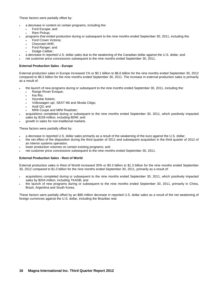These factors were partially offset by:

- a decrease in content on certain programs, including the:
	- Ford Escape; and
	- Ram Pickup;
- programs that ended production during or subsequent to the nine months ended September 30, 2011, including the:
	- Ford Crown Victoria;
	- Chevrolet HHR;
	- Ford Ranger; and
	- Dodge Caliber;
- a decrease in reported U.S. dollar sales due to the weakening of the Canadian dollar against the U.S. dollar; and
- net customer price concessions subsequent to the nine months ended September 30, 2011.

#### **External Production Sales - Europe**

External production sales in Europe increased 1% or \$0.1 billion to \$6.6 billion for the nine months ended September 30, 2012 compared to \$6.5 billion for the nine months ended September 30, 2011. The increase in external production sales is primarily as a result of:

- the launch of new programs during or subsequent to the nine months ended September 30, 2011, including the:
	- Range Rover Evoque;
	- Kia Rio;
	- Hyundai Solaris;
	- Volkswagen up!, SEAT Mii and Skoda Citigo;
	- Audi Q3; and
	- MINI Coupe and MINI Roadster;
- acquisitions completed during or subsequent to the nine months ended September 30, 2011, which positively impacted sales by \$159 million, including BDW; and
- growth in sales for non-traditional markets.

These factors were partially offset by:

- a decrease in reported U.S. dollar sales primarily as a result of the weakening of the euro against the U.S. dollar;
- the net effect of the disposition during the third quarter of 2011 and subsequent acquisition in the third quarter of 2012 of an interior systems operation;
- lower production volumes on certain existing programs; and
- net customer price concessions subsequent to the nine months ended September 30, 2011.

#### **External Production Sales - Rest of World**

External production sales in Rest of World increased 30% or \$0.3 billion to \$1.3 billion for the nine months ended September 30, 2012 compared to \$1.0 billion for the nine months ended September 30, 2011, primarily as a result of:

- acquisitions completed during or subsequent to the nine months ended September 30, 2011, which positively impacted sales by \$204 million, including TKASB; and
- the launch of new programs during or subsequent to the nine months ended September 30, 2011, primarily in China, Brazil, Argentina and South Korea.

These factors were partially offset by an \$88 million decrease in reported U.S. dollar sales as a result of the net weakening of foreign currencies against the U.S. dollar, including the Brazilian real.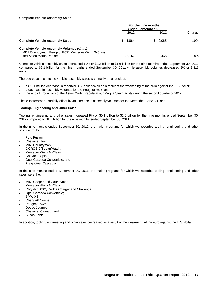#### **Complete Vehicle Assembly Sales**

|                                                                                                         | For the nine months<br>ended September 30. |         |        |
|---------------------------------------------------------------------------------------------------------|--------------------------------------------|---------|--------|
|                                                                                                         | 2012                                       | 2011    | Change |
| <b>Complete Vehicle Assembly Sales</b>                                                                  | 1.864                                      | \$2.065 | 10%    |
| <b>Complete Vehicle Assembly Volumes (Units)</b><br>MINI Countryman, Peugeot RCZ, Mercedes-Benz G-Class |                                            |         |        |

Complete vehicle assembly sales decreased 10% or \$0.2 billion to \$1.9 billion for the nine months ended September 30, 2012 compared to \$2.1 billion for the nine months ended September 30, 2011 while assembly volumes decreased 8% or 8,313 units.

and Aston Martin Rapide **92,152** 100,465 - 8%

The decrease in complete vehicle assembly sales is primarily as a result of:

- a \$171 million decrease in reported U.S. dollar sales as a result of the weakening of the euro against the U.S. dollar;
- a decrease in assembly volumes for the Peugeot RCZ; and
- the end of production of the Aston Martin Rapide at our Magna Steyr facility during the second quarter of 2012.

These factors were partially offset by an increase in assembly volumes for the Mercedes-Benz G-Class.

#### **Tooling, Engineering and Other Sales**

Tooling, engineering and other sales increased 9% or \$0.1 billion to \$1.6 billion for the nine months ended September 30, 2012 compared to \$1.5 billion for the nine months ended September 30, 2011.

In the nine months ended September 30, 2012, the major programs for which we recorded tooling, engineering and other sales were the:

- Ford Fusion;
- Chevrolet Trax;
- MINI Countryman;
- QOROS C/Sedan/Hatch;
- Mercedes-Benz M-Class;
- Chevrolet Spin;
- Opel Cascada Convertible; and
- Freightliner Cascadia.

In the nine months ended September 30, 2011, the major programs for which we recorded tooling, engineering and other sales were the:

- MINI Cooper and Countryman;
- Mercedes-Benz M-Class;
- Chrysler 300C, Dodge Charger and Challenger;
- Opel Cascada Convertible;
- BMW X3;
- Chery A6 Coupe;
- Peugeot RCZ;
- Dodge Journey;
- Chevrolet Camaro; and
- Skoda Fabia.

In addition, tooling, engineering and other sales decreased as a result of the weakening of the euro against the U.S. dollar.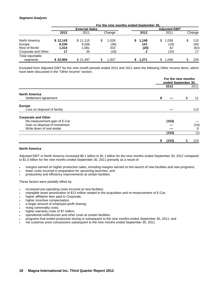#### *Segment Analysis*

|                              | For the nine months ended September 30. |                       |             |                      |             |           |  |  |  |  |
|------------------------------|-----------------------------------------|-----------------------|-------------|----------------------|-------------|-----------|--|--|--|--|
|                              |                                         | <b>External Sales</b> |             | <b>Adiusted EBIT</b> |             |           |  |  |  |  |
|                              | 2012                                    | 2011                  | Change      | 2012                 | 2011        | Change    |  |  |  |  |
| North America                | \$12,143                                | \$11,115              | \$<br>1,028 | 1,148<br>S.          | 1,038<br>\$ | 110       |  |  |  |  |
| Europe                       | 9,230                                   | 9,266                 | (36)        | 141                  | (19)        | 160       |  |  |  |  |
| <b>Rest of World</b>         | 1.414                                   | 1.081                 | 333         | (20)                 | 42          | (62)      |  |  |  |  |
| Corporate and Other          | 17                                      | 35                    | (18)        |                      | (15)        | 17        |  |  |  |  |
| Total reportable<br>segments | \$22.804                                | \$21.497              | \$<br>1.307 | 1.271                | 1.046       | 225<br>\$ |  |  |  |  |

Excluded from Adjusted EBIT for the nine month periods ended 2012 and 2011 were the following Other Income items, which have been discussed in the "Other Income" section.

|                                                            |       | For the nine months<br>ended September 30, |
|------------------------------------------------------------|-------|--------------------------------------------|
|                                                            | 2012  | 2011                                       |
| <b>North America</b><br>Settlement agreement               |       | 11                                         |
| <b>Europe</b>                                              |       |                                            |
| Loss on disposal of facility                               |       | 113                                        |
| <b>Corporate and Other</b><br>Re-measurement gain of E-Car | (153) |                                            |
| Gain on disposal of investment                             |       | (10)                                       |
| Write down of real estate                                  |       | 9                                          |
|                                                            | (153) | (1)                                        |
|                                                            | (153) | 123                                        |

#### **North America**

Adjusted EBIT in North America increased \$0.1 billion to \$1.1 billion for the nine months ended September 30, 2012 compared to \$1.0 billion for the nine months ended September 30, 2011 primarily as a result of:

- margins earned on higher production sales, including margins earned on the launch of new facilities and new programs;
- lower costs incurred in preparation for upcoming launches; and
- productivity and efficiency improvements at certain facilities.

These factors were partially offset by:

- increased pre-operating costs incurred at new facilities;
- intangible asset amortization of \$13 million related to the acquisition and re-measurement of E-Car;
- higher affiliation fees paid to Corporate;
- higher incentive compensation;
- a larger amount of employee profit sharing;
- rising commodity costs;
- higher warranty costs of \$7 million;
- operational inefficiencies and other costs at certain facilities;
- programs that ended production during or subsequent to the nine months ended September 30, 2011; and
- net customer price concessions subsequent to the nine months ended September 30, 2011.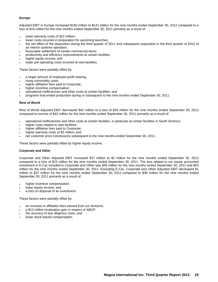#### **Europe**

Adjusted EBIT in Europe increased \$160 million to \$141 million for the nine months ended September 30, 2012 compared to a loss of \$19 million for the nine months ended September 30, 2011 primarily as a result of:

- lower warranty costs of \$22 million;
- lower costs incurred in preparation for upcoming launches;
- the net effect of the disposition during the third quarter of 2011 and subsequent acquisition in the third quarter of 2012 of an interior systems operation;
- favourable settlement of certain commercial items;
- productivity and efficiency improvements at certain facilities;
- higher equity income; and
- lower pre-operating costs incurred at new facilities.

These factors were partially offset by:

- a larger amount of employee profit sharing;
- rising commodity costs;
- higher affiliation fees paid to Corporate;
- higher incentive compensation;
- operational inefficiencies and other costs at certain facilities; and
- programs that ended production during or subsequent to the nine months ended September 30, 2011.

#### **Rest of World**

Rest of World Adjusted EBIT decreased \$62 million to a loss of \$20 million for the nine months ended September 30, 2012 compared to income of \$42 million for the nine months ended September 30, 2011 primarily as a result of:

- operational inefficiencies and other costs at certain facilities, in particular at certain facilities in South America;
- higher costs related to new facilities;
- higher affiliation fees paid to Corporate;
- higher warranty costs of \$2 million; and
- net customer price concessions subsequent to the nine months ended September 30, 2011.

These factors were partially offset by higher equity income.

#### **Corporate and Other**

Corporate and Other Adjusted EBIT increased \$17 million to \$2 million for the nine months ended September 30, 2012 compared to a loss of \$15 million for the nine months ended September 30, 2011. The loss related to our equity accounted investment in E-Car included in Corporate and Other was \$35 million for the nine months ended September 30, 2012 and \$53 million for the nine months ended September 30, 2011. Excluding E-Car, Corporate and Other Adjusted EBIT decreased \$1 million to \$37 million for the nine months ended September 30, 2012 compared to \$38 million for the nine months ended September 30, 2011 primarily as a result of:

- higher incentive compensation;
- lower equity income; and
- a loss on disposal of an investment.

These factors were partially offset by:

- an increase in affiliation fees earned from our divisions;
- a \$13 million revaluation gain in respect of ABCP;
- the recovery of due diligence costs; and
- lower stock-based compensation.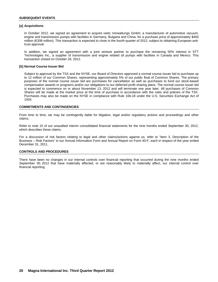#### **[a] Acquisitions**

In October 2012, we signed an agreement to acquire ixetic Verwaltungs GmbH, a manufacturer of automotive vacuum, engine and transmission pumps with facilities in Germany, Bulgaria and China, for a purchase price of approximately \$400 million (€308 million). This transaction is expected to close in the fourth quarter of 2012, subject to obtaining European antitrust approval.

In addition, we signed an agreement with a joint venture partner to purchase the remaining 50% interest in STT Technologies Inc., a supplier of transmission and engine related oil pumps with facilities in Canada and Mexico. This transaction closed on October 26, 2012.

#### **[b] Normal Course Issuer Bid**

Subject to approval by the TSX and the NYSE, our Board of Directors approved a normal course issuer bid to purchase up to 12 million of our Common Shares, representing approximately 5% of our public float of Common Shares. The primary purposes of the normal course issuer bid are purchases for cancellation as well as purchases to fund our stock-based compensation awards or programs and/or our obligations to our deferred profit sharing plans. The normal course issuer bid is expected to commence on or about November 13, 2012 and will terminate one year later. All purchases of Common Shares will be made at the market price at the time of purchase in accordance with the rules and policies of the TSX. Purchases may also be made on the NYSE in compliance with Rule 10b-18 under the U.S. Securities Exchange Act of 1934.

#### **COMMITMENTS AND CONTINGENCIES**

From time to time, we may be contingently liable for litigation, legal and/or regulatory actions and proceedings and other claims.

Refer to note 15 of our unaudited interim consolidated financial statements for the nine months ended September 30, 2012, which describes these claims.

For a discussion of risk factors relating to legal and other claims/actions against us, refer to "Item 3. Description of the Business – Risk Factors" in our Annual Information Form and Annual Report on Form 40-F, each in respect of the year ended December 31, 2011.

#### **CONTROLS AND PROCEDURES**

There have been no changes in our internal controls over financial reporting that occurred during the nine months ended September 30, 2012 that have materially affected, or are reasonably likely to materially affect, our internal control over financial reporting.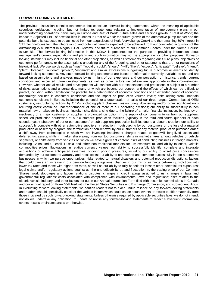#### **FORWARD-LOOKING STATEMENTS**

The previous discussion contains statements that constitute "forward-looking statements" within the meaning of applicable securities legislation, including, but not limited to, statements relating to implementation of improvement plans in our underperforming operations, particularly in Europe and Rest of World; future sales and earnings growth in Rest of World; the impact to Adjusted EBIT of new facilities launches in Rest of World; the future growth of the automotive pump market and the potential benefits expected to be achieved from our acquisitions of ixetic Verwaltungs GmbH and the remaining 50% interest in STT Technologies Inc.; the integration of and potential benefits expected to be achieved from our completed acquisition of the outstanding 27% interest in Magna E-Car Systems; and future purchases of our Common Shares under the Normal Course Issuer Bid. The forward-looking information in this MD&A is presented for the purpose of providing information about management's current expectations and plans and such information may not be appropriate for other purposes. Forwardlooking statements may include financial and other projections, as well as statements regarding our future plans, objectives or economic performance, or the assumptions underlying any of the foregoing, and other statements that are not recitations of historical fact. We use words such as "may", "would", "could", "should", "will", "likely", "expect", "anticipate", "believe", "intend", "plan", "forecast", "outlook", "project", "estimate" and similar expressions suggesting future outcomes or events to identify forward-looking statements. Any such forward-looking statements are based on information currently available to us, and are based on assumptions and analyses made by us in light of our experience and our perception of historical trends, current conditions and expected future developments, as well as other factors we believe are appropriate in the circumstances. However, whether actual results and developments will conform with our expectations and predictions is subject to a number of risks, assumptions and uncertainties, many of which are beyond our control, and the effects of which can be difficult to predict, including, without limitation: the potential for a deterioration of economic conditions or an extended period of economic uncertainty; declines in consumer confidence and the impact on production volume levels; risks arising from uncertain economic conditions in Europe, including the potential for a deterioration of sales of our three largest German-based OEM customers; restructuring actions by OEMs, including plant closures; restructuring, downsizing and/or other significant nonrecurring costs; continued underperformance of one or more of our operating divisions; our ability to successfully launch material new or takeover business; liquidity risks; risks arising due to the failure of a major financial institution; bankruptcy or insolvency of a major customer or supplier; a prolonged disruption in the supply of components to us from our suppliers; scheduled production shutdowns of our customers' production facilities (typically in the third and fourth quarters of each calendar year); shutdown of our or our customers' or sub-suppliers' production facilities due to a labour disruption; our ability to successfully compete with other automotive suppliers; a reduction in outsourcing by our customers or the loss of a material production or assembly program; the termination or non-renewal by our customers of any material production purchase order; a shift away from technologies in which we are investing; impairment charges related to goodwill, long-lived assets and deferred tax assets; shifts in market share away from our top customers; shifts in market shares among vehicles or vehicle segments, or shifts away from vehicles on which we have significant content; risks of conducting business in foreign markets, including China, India, Brazil, Russia and other non-traditional markets for us; exposure to, and ability to offset, volatile commodities prices; fluctuations in relative currency values; our ability to successfully identify, complete and integrate acquisitions or achieve anticipated synergies; ongoing pricing pressures, including our ability to offset price concessions demanded by our customers; warranty and recall costs; our ability to understand and compete successfully in non-automotive businesses in which we pursue opportunities; risks related to natural disasters and potential production disruptions; factors that could cause an increase in our pension funding obligations; changes in our mix of earnings between jurisdictions with lower tax rates and those with higher tax rates, as well as our ability to fully benefit tax losses; other potential tax exposures; legal claims and/or regulatory actions against us; the unpredictability of, and fluctuation in, the trading price of our Common Shares; work stoppages and labour relations disputes; changes in credit ratings assigned to us; changes in laws and governmental regulations; costs associated with compliance with environmental laws and regulations; risks related to the electric vehicle industry; and other factors set out in our Annual Information Form filed with securities commissions in Canada and our annual report on Form 40-F filed with the United States Securities and Exchange Commission, and subsequent filings. In evaluating forward-looking statements, we caution readers not to place undue reliance on any forward-looking statements and readers should specifically consider the various factors which could cause actual events or results to differ materially from those indicated by such forward-looking statements. Unless otherwise required by applicable securities laws, we do not intend, nor do we undertake any obligation, to update or revise any forward-looking statements to reflect subsequent information, events, results or circumstances or otherwise.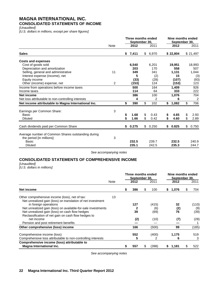# **MAGNA INTERNATIONAL INC. CONSOLIDATED STATEMENTS OF INCOME**

*[Unaudited]*

*[U.S. dollars in millions, except per share figures]*

|                                                                                                 |      | Three months ended<br>September 30, |       |    | Nine months ended<br>September 30, |    |          |    |                |
|-------------------------------------------------------------------------------------------------|------|-------------------------------------|-------|----|------------------------------------|----|----------|----|----------------|
|                                                                                                 | Note |                                     | 2012  |    | 2011                               |    | 2012     |    | 2011           |
| <b>Sales</b>                                                                                    |      | \$                                  | 7,411 |    | \$6,970                            |    | \$22,804 |    | \$21,497       |
| <b>Costs and expenses</b>                                                                       |      |                                     |       |    |                                    |    |          |    |                |
| Cost of goods sold                                                                              |      |                                     | 6,540 |    | 6,201                              |    | 19,951   |    | 18,993         |
| Depreciation and amortization                                                                   |      |                                     | 203   |    | 170                                |    | 558      |    | 507            |
| Selling, general and administrative                                                             | 11   |                                     | 349   |    | 341                                |    | 1,131    |    | 1,044          |
| Interest expense (income), net                                                                  |      |                                     | 5     |    | (2)                                |    | 15       |    | (3)            |
| Equity income                                                                                   |      |                                     | (33)  |    | (28)                               |    | (107)    |    | (93)           |
| Other (income) expense, net                                                                     | 2    |                                     | (153) |    | 124                                |    | (153)    |    | 123            |
| Income from operations before income taxes                                                      |      |                                     | 500   |    | 164                                |    | 1,409    |    | 926            |
| Income taxes                                                                                    |      |                                     | 114   |    | 64                                 |    | 333      |    | 222            |
| Net income                                                                                      |      |                                     | 386   |    | 100                                |    | 1,076    |    | 704            |
| Net loss attributable to non-controlling interests                                              |      |                                     | 4     |    | 2                                  |    | 6        |    | $\overline{c}$ |
| Net income attributable to Magna International Inc.                                             |      | \$                                  | 390   | \$ | 102                                | \$ | 1,082    | \$ | 706            |
| Earnings per Common Share:                                                                      | 3    |                                     |       |    |                                    |    |          |    |                |
| Basic                                                                                           |      | \$                                  | 1.68  | \$ | 0.43                               | \$ | 4.65     | \$ | 2.93           |
| <b>Diluted</b>                                                                                  |      | \$                                  | 1.66  | \$ | 0.42                               | \$ | 4.60     | S  | 2.89           |
| Cash dividends paid per Common Share                                                            |      | \$                                  | 0.275 | \$ | 0.250                              | \$ | 0.825    | \$ | 0.750          |
| Average number of Common Shares outstanding during<br>the period [in millions]:<br><b>Basic</b> | 3    |                                     | 232.5 |    | 239.7                              |    | 232.5    |    | 240.9          |
| <b>Diluted</b>                                                                                  |      |                                     | 235.1 |    | 242.5                              |    | 235.3    |    | 244.7          |

*See accompanying notes*

# **CONSOLIDATED STATEMENTS OF COMPREHENSIVE INCOME**

*[Unaudited]*

*[U.S. dollars in millions]*

|                                                              |      |   | Three months ended<br>September 30, |             |   | Nine months ended<br>September 30, |    |       |
|--------------------------------------------------------------|------|---|-------------------------------------|-------------|---|------------------------------------|----|-------|
|                                                              | Note |   | 2012                                | 2011        |   | 2012                               |    | 2011  |
| Net income                                                   |      | S | 386                                 | \$<br>100   | S | 1,076                              | æ. | 704   |
| Other comprehensive income (loss), net of tax:               | 13   |   |                                     |             |   |                                    |    |       |
| Net unrealized gain (loss) on translation of net investment  |      |   |                                     |             |   |                                    |    |       |
| in foreign operations                                        |      |   | 127                                 | (415)       |   | 32                                 |    | (110) |
| Net unrealized gain (loss) on available-for-sale investments |      |   |                                     | (6)         |   | (2)                                |    | (9)   |
| Net unrealized gain (loss) on cash flow hedges               |      |   | 39                                  | (69)        |   | 76                                 |    | (39)  |
| Reclassification of net gain on cash flow hedges to          |      |   |                                     |             |   |                                    |    |       |
| net income                                                   |      |   | (2)                                 | (10)        |   | (7)                                |    | (28)  |
| Pension and post retirement benefits                         |      |   |                                     |             |   |                                    |    |       |
| Other comprehensive (loss) income                            |      |   | 166                                 | (500)       |   | 99                                 |    | (185) |
| Comprehensive income (loss)                                  |      |   | 552                                 | (400)       |   | 1,175                              |    | 519   |
| Comprehensive loss attributable to non-controlling interests |      |   | 5                                   | 2           |   | 6                                  |    | 3     |
| Comprehensive income (loss) attributable to                  |      |   |                                     |             |   |                                    |    |       |
| Magna International Inc.                                     |      | S | 557                                 | \$<br>(398) | S | 1,181                              |    | 522   |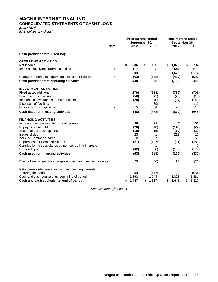# **MAGNA INTERNATIONAL INC. CONSOLIDATED STATEMENTS OF CASH FLOWS**

*[Unaudited] [U.S. dollars in millions]*

|                                                              |             | Three months ended<br>September 30. |              |    | Nine months ended<br>September 30 |    |       |    |       |
|--------------------------------------------------------------|-------------|-------------------------------------|--------------|----|-----------------------------------|----|-------|----|-------|
|                                                              | <b>Note</b> |                                     | 2012         |    | 2011                              |    | 2012  |    | 2011  |
| Cash provided from (used for):                               |             |                                     |              |    |                                   |    |       |    |       |
| <b>OPERATING ACTIVITIES</b>                                  |             |                                     |              |    |                                   |    |       |    |       |
| Net income                                                   |             | \$                                  | 386          | \$ | 100                               | \$ | 1,076 | \$ | 704   |
| Items not involving current cash flows                       | 4           |                                     | 117          |    | 293                               |    | 544   |    | 670   |
|                                                              |             |                                     | 503          |    | 393                               |    | 1,620 |    | 1,374 |
| Changes in non-cash operating assets and liabilities         | 4           |                                     | (63)         |    | (148)                             |    | (487) |    | (926) |
| Cash provided from operating activities                      |             |                                     | 440          |    | 245                               |    | 1,133 |    | 448   |
| <b>INVESTMENT ACTIVITIES</b>                                 |             |                                     |              |    |                                   |    |       |    |       |
| Fixed asset additions                                        |             |                                     | (279)        |    | (338)                             |    | (796) |    | (708) |
| Purchase of subsidiaries                                     | 5           |                                     | (56)         |    | (5)                               |    | (79)  |    | (19)  |
| Increase in investments and other assets                     |             |                                     | (28)         |    | (40)                              |    | (97)  |    | (140) |
| Disposals of facilities                                      |             |                                     |              |    | (39)                              |    |       |    | 112   |
| Proceeds from disposition                                    | 2           |                                     | 15           |    | 34                                |    | 93    |    | 110   |
| Cash used for investing activities                           |             |                                     | (348)        |    | (388)                             |    | (879) |    | (645) |
| <b>FINANCING ACTIVITIES</b>                                  |             |                                     |              |    |                                   |    |       |    |       |
| Increase (decrease) in bank indebtedness                     |             |                                     | 36           |    | 73                                |    | (5)   |    | 106   |
| Repayments of debt                                           |             |                                     | (26)         |    | (10)                              |    | (145) |    | (22)  |
| Settlement of stock options                                  |             |                                     | (15)         |    | (5)                               |    | (19)  |    | (30)  |
| Issues of debt                                               |             |                                     | 23           |    | 1                                 |    | 218   |    | 10    |
| <b>Issue of Common Shares</b>                                |             |                                     | $\mathbf{2}$ |    | 7                                 |    | 5     |    | 58    |
| Repurchase of Common Shares                                  |             |                                     | (21)         |    | (197)                             |    | (21)  |    | (285) |
| Contribution to subsidiaries by non-controlling interests    |             |                                     |              |    | 1                                 |    |       |    | 9     |
| Dividends paid                                               |             |                                     | (62)         |    | (58)                              |    | (189) |    | (177) |
| <b>Cash used for financing activities</b>                    |             |                                     | (63)         |    | (188)                             |    | (156) |    | (331) |
| Effect of exchange rate changes on cash and cash equivalents |             |                                     | 25           |    | (86)                              |    | 24    |    | (26)  |
| Net increase (decrease) in cash and cash equivalents         |             |                                     |              |    |                                   |    |       |    |       |
| during the period                                            |             |                                     | 54           |    | (417)                             |    | 122   |    | (554) |
| Cash and cash equivalents, beginning of period               |             |                                     | 1,393        |    | 1,744                             |    | 1,325 |    | 1,881 |
| Cash and cash equivalents, end of period                     |             | \$                                  | 1,447        | \$ | 1,327                             | \$ | 1,447 | \$ | 1,327 |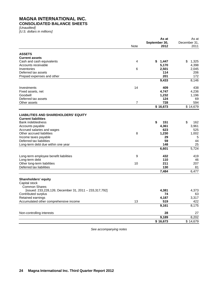# **MAGNA INTERNATIONAL INC. CONSOLIDATED BALANCE SHEETS**

*[Unaudited] [U.S. dollars in millions]*

|                                                        | As at |               | As at        |
|--------------------------------------------------------|-------|---------------|--------------|
|                                                        |       | September 30, | December 31, |
|                                                        | Note  | 2012          | 2011         |
| <b>ASSETS</b>                                          |       |               |              |
| <b>Current assets</b>                                  |       |               |              |
| Cash and cash equivalents                              | 4     | \$<br>1,447   | \$<br>1,325  |
| Accounts receivable                                    |       | 5,170         | 4,398        |
| Inventories                                            | 6     | 2,501         | 2,045        |
| Deferred tax assets                                    |       | 114           | 206          |
| Prepaid expenses and other                             |       | 201           | 172          |
|                                                        |       | 9,433         | 8,146        |
| Investments                                            | 14    | 409           | 438          |
| Fixed assets, net                                      |       | 4,747         | 4,236        |
| Goodwill                                               |       | 1,232         | 1,196        |
| Deferred tax assets                                    |       | 124           | 69           |
| Other assets                                           | 7     | 728           | 594          |
|                                                        |       | \$16,673      | \$14,679     |
| <b>LIABILITIES AND SHAREHOLDERS' EQUITY</b>            |       |               |              |
| <b>Current liabilities</b>                             |       |               |              |
| <b>Bank indebtedness</b>                               |       | \$<br>151     | \$<br>162    |
| Accounts payable                                       |       | 4,361         | 3,961        |
| Accrued salaries and wages                             |       | 623           | 525          |
| Other accrued liabilities                              | 8     | 1,230         | 1,002        |
| Income taxes payable                                   |       | 29            | 5            |
| Deferred tax liabilities                               |       | 59            | 44           |
| Long-term debt due within one year                     |       | 148           | 25           |
|                                                        |       | 6,601         | 5,724        |
| Long-term employee benefit liabilities                 | 9     | 432           | 419          |
| Long-term debt                                         |       | 110           | 46           |
| Other long-term liabilities                            | 10    | 211           | 207          |
| Deferred tax liabilities                               |       | 130           | 81           |
|                                                        |       | 7,484         | 6,477        |
| Shareholders' equity                                   |       |               |              |
| Capital stock                                          |       |               |              |
| <b>Common Shares</b>                                   |       |               |              |
| [issued: 233,228,126; December 31, 2011 - 233,317,792] |       | 4,381         | 4,373        |
| Contributed surplus                                    |       | 74            | 63           |
| Retained earnings                                      |       | 4,187         | 3,317        |
| Accumulated other comprehensive income                 | 13    | 519           | 422          |
|                                                        |       | 9,161         | 8,175        |
| Non-controlling interests                              |       | 28            | 27           |
|                                                        |       | 9,189         | 8,202        |
|                                                        |       | \$16,673      | \$14,679     |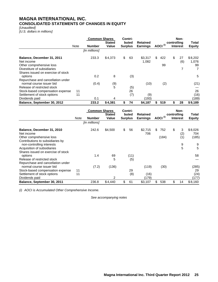# **MAGNA INTERNATIONAL INC. CONSOLIDATED STATEMENTS OF CHANGES IN EQUITY**

*[Unaudited] [U.S. dollars in millions]*

|                                    |             | <b>Common Shares</b> |                        | Contri-                 |                                    |                     |             | Non-            |                        |
|------------------------------------|-------------|----------------------|------------------------|-------------------------|------------------------------------|---------------------|-------------|-----------------|------------------------|
|                                    | <b>Note</b> | Number               | <b>Stated</b><br>Value | buted<br><b>Surplus</b> | <b>Retained</b><br><b>Earnings</b> | AOCI <sup>(i)</sup> | controlling | <b>Interest</b> | Total<br><b>Equity</b> |
|                                    |             | [in millions]        |                        |                         |                                    |                     |             |                 |                        |
| Balance, December 31, 2011         |             | 233.3                | \$4,373                | \$<br>63                | \$3.317                            | \$<br>422           | \$          | 27              | \$8,202                |
| Net income                         |             |                      |                        |                         | 1,082                              |                     |             | (6)             | 1,076                  |
| Other comprehensive loss           |             |                      |                        |                         |                                    | 99                  |             |                 | 99                     |
| Divestiture of subsidiaries        |             |                      |                        |                         |                                    |                     |             | 7               | 7                      |
| Shares issued on exercise of stock |             |                      |                        |                         |                                    |                     |             |                 |                        |
| options                            |             | 0.2                  | 8                      | (3)                     |                                    |                     |             |                 | 5                      |
| Repurchase and cancellation under  |             |                      |                        |                         |                                    |                     |             |                 |                        |
| normal course issuer bid           |             | (0.4)                | (9)                    |                         | (10)                               | (2)                 |             |                 | (21)                   |
| Release of restricted stock        |             |                      | 5                      | (5)                     |                                    |                     |             |                 |                        |
| Stock-based compensation expense   | 11          |                      |                        | 26                      |                                    |                     |             |                 | 26                     |
| Settlement of stock options        | 11          |                      |                        | (7)                     | (9)                                |                     |             |                 | (16)                   |
| Dividends paid                     |             | 0.1                  | 4                      |                         | (193)                              |                     |             |                 | (189)                  |
| Balance, September 30, 2012        |             | 233.2                | \$4,381                | \$<br>74                | \$4,187                            | 519                 | \$          | 28              | \$9,189                |

|                                                               |      | <b>Common Shares</b> | <b>Stated</b> | Contri-<br>buted | <b>Retained</b> |                     | controlling | Non-            | Total          |
|---------------------------------------------------------------|------|----------------------|---------------|------------------|-----------------|---------------------|-------------|-----------------|----------------|
|                                                               | Note | <b>Number</b>        | Value         | <b>Surplus</b>   | <b>Earnings</b> | AOCI <sup>(i)</sup> |             | <b>Interest</b> | <b>Equity</b>  |
|                                                               |      | [in millions]        |               |                  |                 |                     |             |                 |                |
| Balance, December 31, 2010<br>Net income                      |      | 242.6                | \$4,500       | \$<br>56         | \$2,715<br>706  | \$<br>752           | \$          | 3<br>(2)        | \$8,026<br>704 |
| Other comprehensive loss                                      |      |                      |               |                  |                 | (184)               |             | (1)             | (185)          |
| Contributions to subsidiaries by<br>non-controlling interests |      |                      |               |                  |                 |                     |             | 9               | 9              |
| Acquisition of subsidiaries                                   |      |                      |               |                  |                 |                     |             | 5               | 5              |
| Shares issued on exercise of stock<br>options                 |      | 1.4                  | 69            | (11)             |                 |                     |             |                 | 58             |
| Release of restricted stock                                   |      |                      | 5             | (5)              |                 |                     |             |                 |                |
| Repurchase and cancellation under<br>normal course issuer bid |      | (7.2)                | (136)         |                  | (119)           | (30)                |             |                 | (285)          |
| Stock-based compensation expense                              | 11   |                      |               | 29               |                 |                     |             |                 | 29             |
| Settlement of stock options                                   | 11   |                      |               | (8)              | (16)            |                     |             |                 | (24)           |
| Dividends paid                                                |      |                      | 2             |                  | (179)           |                     |             |                 | (177)          |
| Balance, September 30, 2011                                   |      | 236.8                | \$4,440       | \$<br>61         | \$3,107         | \$<br>538           | \$          | 14              | \$8,160        |

*(i) AOCI is Accumulated Other Comprehensive Income.*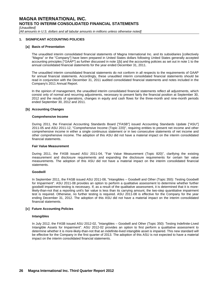*[Unaudited]*

*[All amounts in U.S. dollars and all tabular amounts in millions unless otherwise noted]*

#### **1. SIGNIFICANT ACCOUNTING POLICIES**

#### **[a] Basis of Presentation**

The unaudited interim consolidated financial statements of Magna International Inc. and its subsidiaries [collectively "Magna" or the "Company"] have been prepared in United States dollars following United States generally accepted accounting principles ["GAAP"] as further discussed in note 1[b] and the accounting policies as set out in note 1 to the annual consolidated financial statements for the year ended December 31, 2011.

The unaudited interim consolidated financial statements do not conform in all respects to the requirements of GAAP for annual financial statements. Accordingly, these unaudited interim consolidated financial statements should be read in conjunction with the December 31, 2011 audited consolidated financial statements and notes included in the Company's 2011 Annual Report.

In the opinion of management, the unaudited interim consolidated financial statements reflect all adjustments, which consist only of normal and recurring adjustments, necessary to present fairly the financial position at September 30, 2012 and the results of operations, changes in equity and cash flows for the three-month and nine-month periods ended September 30, 2012 and 2011.

#### **[b] Accounting Changes**

#### **Comprehensive Income**

During 2011, the Financial Accounting Standards Board ["FASB"] issued Accounting Standards Update ["ASU"] 2011-05 and ASU 2011-12, "Comprehensive Income (Topic 220)", requiring entities to present net income and other comprehensive income in either a single continuous statement or in two consecutive statements of net income and other comprehensive income. The adoption of this ASU did not have a material impact on the interim consolidated financial statements.

#### **Fair Value Measurement**

During 2011, the FASB issued ASU 2011-04, "Fair Value Measurement (Topic 820)", clarifying the existing measurement and disclosure requirements and expanding the disclosure requirements for certain fair value measurements. The adoption of this ASU did not have a material impact on the interim consolidated financial statements.

#### **Goodwill**

In September 2011, the FASB issued ASU 2011-08, "Intangibles – Goodwill and Other (Topic 350): Testing Goodwill for Impairment". ASU 2011-08 provides an option to perform a qualitative assessment to determine whether further goodwill impairment testing is necessary. If, as a result of the qualitative assessment, it is determined that it is morelikely-than-not that a reporting unit's fair value is less than its carrying amount, the two-step quantitative impairment test is required. Otherwise, no further testing is required. ASU 2011-08 is effective for the Company for the year ending December 31, 2012. The adoption of this ASU did not have a material impact on the interim consolidated financial statements.

#### **[c] Future Accounting Policies**

#### **Intangibles**

In July 2012, the FASB issued ASU 2012-02, "Intangibles – Goodwill and Other (Topic 350): Testing Indefinite-Lived Intangible Assets for Impairment". ASU 2012-02 provides an option to first perform a qualitative assessment to determine whether it is more-likely-than-not that an indefinite-lived intangible asset is impaired. This new standard will be effective for the Company in the first quarter of 2013. The adoption of this ASU is not expected to have a material impact on the interim consolidated financial statements.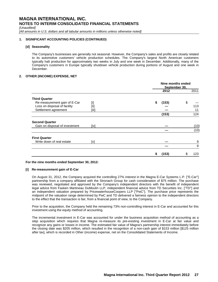*[Unaudited]*

*[All amounts in U.S. dollars and all tabular amounts in millions unless otherwise noted]*

#### **1. SIGNIFICANT ACCOUNTING POLICIES (CONTINUED)**

#### **[d] Seasonality**

The Company's businesses are generally not seasonal. However, the Company's sales and profits are closely related to its automotive customers' vehicle production schedules. The Company's largest North American customers typically halt production for approximately two weeks in July and one week in December. Additionally, many of the Company's customers in Europe typically shutdown vehicle production during portions of August and one week in December.

#### **2. OTHER (INCOME) EXPENSE, NET**

|                                                                       |      | Nine months ended<br>September 30, |       |           |        |  |
|-----------------------------------------------------------------------|------|------------------------------------|-------|-----------|--------|--|
|                                                                       |      |                                    | 2012  |           | 2011   |  |
| <b>Third Quarter</b><br>Re-measurement gain of E-Car                  | [i]  | \$                                 | (153) | \$        |        |  |
| Loss on disposal of facility<br>[ii]<br>Settlement agreement<br>[iii] |      |                                    |       | 113<br>11 |        |  |
|                                                                       |      |                                    | (153) |           | 124    |  |
| <b>Second Quarter</b><br>Gain on disposal of investment               | [iv] |                                    |       |           | (10)   |  |
|                                                                       |      |                                    |       |           | (10)   |  |
| <b>First Quarter</b><br>Write down of real estate                     | ſ٧l  |                                    |       |           | 9<br>9 |  |
|                                                                       |      | S                                  | (153) | S         | 123    |  |

#### **For the nine months ended September 30, 2012:**

#### **[i] Re-measurement gain of E-Car**

On August 31, 2012, the Company acquired the controlling 27% interest in the Magna E-Car Systems L.P. ["E-Car"] partnership from a company affiliated with the Stronach Group for cash consideration of \$75 million. The purchase was reviewed, negotiated and approved by the Company's independent directors with the benefit of independent legal advice from Fasken Martineau DuMoulin LLP, independent financial advice from TD Securities Inc. ["TD"] and an independent valuation prepared by PricewaterhouseCoopers LLP ["PwC"]. The purchase price represents the midpoint of the valuation range determined by PwC and TD delivered a fairness opinion to the independent directors to the effect that the transaction is fair, from a financial point of view, to the Company.

Prior to the acquisition, the Company held the remaining 73% non-controlling interest in E-Car and accounted for this investment using the equity method of accounting.

The incremental investment in E-Car was accounted for under the business acquisition method of accounting as a step acquisition which requires that Magna re-measure its pre-existing investment in E-Car at fair value and recognize any gains or losses in income. The estimated fair value of Magna's partnership interest immediately before the closing date was \$205 million, which resulted in the recognition of a non-cash gain of \$153 million [\$125 million after tax], which is recorded in Other (income) expense, net on the Consolidated Statements of Income.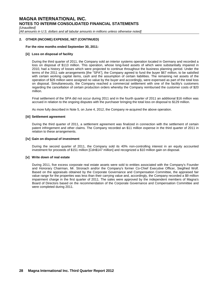*[Unaudited]*

*[All amounts in U.S. dollars and all tabular amounts in millions unless otherwise noted]*

#### **2. OTHER (INCOME) EXPENSE, NET (CONTINUED)**

#### **For the nine months ended September 30, 2011:**

#### **[ii] Loss on disposal of facility**

During the third quarter of 2011, the Company sold an interior systems operation located in Germany and recorded a loss on disposal of \$113 million. This operation, whose long-lived assets of which were substantially impaired in 2010, had a history of losses which were projected to continue throughout the business planning period. Under the terms of the 2011 sale arrangements [the "SPA"], the Company agreed to fund the buyer \$67 million, to be satisfied with certain working capital items, cash and the assumption of certain liabilities. The remaining net assets of the operation of \$26 million were assigned no value by the buyer and accordingly, were expensed as part of the total loss on disposal. Simultaneously, the Company reached a commercial settlement with one of the facility's customers regarding the cancellation of certain production orders whereby the Company reimbursed the customer costs of \$20 million.

Final settlement of the SPA did not occur during 2011 and in the fourth quarter of 2011 an additional \$16 million was accrued in relation to the ongoing disputes with the purchaser bringing the total loss on disposal to \$129 million.

As more fully described in Note 5, on June 4, 2012, the Company re-acquired the above operation.

#### **[iii] Settlement agreement**

During the third quarter of 2011, a settlement agreement was finalized in connection with the settlement of certain patent infringement and other claims. The Company recorded an \$11 million expense in the third quarter of 2011 in relation to these arrangements.

#### **[iv] Gain on disposal of investment**

During the second quarter of 2011, the Company sold its 40% non-controlling interest in an equity accounted investment for proceeds of \$151 million [Cdn\$147 million] and recognized a \$10 million gain on disposal.

#### **[v] Write down of real estate**

During 2011, five excess corporate real estate assets were sold to entities associated with the Company's Founder and Honorary Chairman, Mr. Stronach and/or the Company's former Co-Chief Executive Officer, Siegfried Wolf. Based on the appraisals obtained by the Corporate Governance and Compensation Committee, the appraised fair value range for the properties was less than their carrying value and, accordingly, the Company recorded a \$9 million impairment charge in the first quarter of 2011. The sales were approved by the independent members of Magna's Board of Directors based on the recommendation of the Corporate Governance and Compensation Committee and were completed during 2011.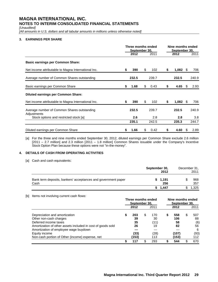*[Unaudited]*

*[All amounts in U.S. dollars and all tabular amounts in millions unless otherwise noted]*

#### **3. EARNINGS PER SHARE**

|                                                            | Three months ended<br>September 30, |       |    |       | Nine months ended<br>September 30, |       |      |       |
|------------------------------------------------------------|-------------------------------------|-------|----|-------|------------------------------------|-------|------|-------|
|                                                            |                                     | 2012  |    | 2011  |                                    | 2012  |      | 2011  |
| <b>Basic earnings per Common Share:</b>                    |                                     |       |    |       |                                    |       |      |       |
| Net income attributable to Magna International Inc.        |                                     | 390   | S  | 102   | \$                                 | 1,082 | - \$ | 706   |
| Average number of Common Shares outstanding                |                                     | 232.5 |    | 239.7 |                                    | 232.5 |      | 240.9 |
| Basic earnings per Common Share                            | \$                                  | 1.68  | S  | 0.43  | S                                  | 4.65  | -S   | 2.93  |
| <b>Diluted earnings per Common Share:</b>                  |                                     |       |    |       |                                    |       |      |       |
| Net income attributable to Magna International Inc.        | S                                   | 390   | \$ | 102   | S                                  | 1,082 | -S   | 706   |
| Average number of Common Shares outstanding<br>Adjustments |                                     | 232.5 |    | 239.7 |                                    | 232.5 |      | 240.9 |
| Stock options and restricted stock [a]                     |                                     | 2.6   |    | 2.8   |                                    | 2.8   |      | 3.8   |
|                                                            |                                     | 235.1 |    | 242.5 |                                    | 235.3 |      | 244.7 |
| Diluted earnings per Common Share                          | S                                   | 1.66  | S  | 0.42  | S                                  | 4.60  | S    | 2.89  |

[a] For the three and nine months ended September 30, 2012, diluted earnings per Common Share exclude 2.6 million [2011 – 2.7 million] and 2.3 million [2011 – 1.8 million] Common Shares issuable under the Company's Incentive Stock Option Plan because these options were not "in-the-money".

#### **4. DETAILS OF CASH FROM OPERATING ACTIVITIES**

[a] Cash and cash equivalents:

|                                                                       | September 30, | December 31,<br>2011 |            |  |
|-----------------------------------------------------------------------|---------------|----------------------|------------|--|
| Bank term deposits, bankers' acceptances and government paper<br>Cash |               | \$1,191<br>256       | 968<br>357 |  |
|                                                                       |               | \$1.447              | 1,325      |  |

[b] Items not involving current cash flows:

|                                                             | Three months ended<br>September 30, |       |    |      | Nine months ended<br>September 30, |       |   |      |
|-------------------------------------------------------------|-------------------------------------|-------|----|------|------------------------------------|-------|---|------|
|                                                             |                                     | 2012  |    | 2011 |                                    | 2012  |   | 2011 |
| Depreciation and amortization                               | S                                   | 203   | \$ | 170  | \$                                 | 558   | S | 507  |
| Other non-cash charges                                      |                                     | 39    |    | 30   |                                    | 106   |   | 88   |
| Deferred income taxes                                       |                                     | 35    |    | (11) |                                    | 58    |   | (6)  |
| Amortization of other assets included in cost of goods sold |                                     | 26    |    | 19   |                                    | 82    |   | 56   |
| Amortization of employee wage buydown                       |                                     |       |    |      |                                    |       |   | 6    |
| Equity income                                               |                                     | (33)  |    | (28) |                                    | (107) |   | (93) |
| Non-cash portion of Other (income) expense, net             |                                     | (153) |    | 113  |                                    | (153) |   | 112  |
|                                                             | \$                                  | 117   | \$ | 293  | S                                  | 544   |   | 670  |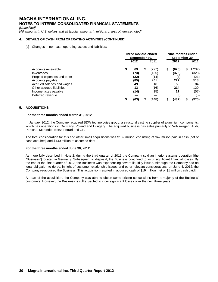*[Unaudited]*

*[All amounts in U.S. dollars and all tabular amounts in millions unless otherwise noted]*

#### **4. DETAILS OF CASH FROM OPERATING ACTIVITIES (CONTINUED)**

[c] Changes in non-cash operating assets and liabilities:

|                                                   | Three months ended<br>September 30, |            |    |                |    | Nine months ended<br>September 30, |                        |  |  |
|---------------------------------------------------|-------------------------------------|------------|----|----------------|----|------------------------------------|------------------------|--|--|
|                                                   |                                     | 2012       |    | 2011           |    | 2012                               | 2011                   |  |  |
| Accounts receivable<br>Inventories                | \$                                  | 69<br>(73) | \$ | (227)<br>(135) | \$ | (626)<br>(375)                     | (1,237)<br>\$<br>(323) |  |  |
| Prepaid expenses and other                        |                                     | (22)       |    | (14)           |    | (4)                                | (21)                   |  |  |
| Accounts payable<br>Accrued salaries and wages    |                                     | (85)<br>49 |    | 241<br>18      |    | 222<br>58                          | 513<br>84              |  |  |
| Other accrued liabilities<br>Income taxes payable |                                     | 13<br>(14) |    | (16)<br>(15)   |    | 214<br>27                          | 120<br>(57)            |  |  |
| Deferred revenue                                  |                                     |            |    |                |    | (3)                                | (5)                    |  |  |
|                                                   | œ                                   | (63)       | \$ | (148)          | S  | (487)                              | (926)                  |  |  |

#### **5. ACQUISITIONS**

#### **For the three months ended March 31, 2012**

In January 2012, the Company acquired BDW technologies group, a structural casting supplier of aluminium components, which has operations in Germany, Poland and Hungary. The acquired business has sales primarily to Volkswagen, Audi, Porsche, Mercedes-Benz, Ferrari and ZF.

The total consideration for this and other small acquisitions was \$182 million, consisting of \$42 million paid in cash [net of cash acquired] and \$140 million of assumed debt

#### **For the three months ended June 30, 2012**

As more fully described in Note 2, during the third quarter of 2011 the Company sold an interior systems operation [the "Business"] located in Germany. Subsequent to disposal, the Business continued to incur significant financial losses. By the end of the first quarter of 2012, the Business was experiencing severe liquidity issues. Although the Company had no legal obligation to do so, in light of customer relationship issues and other relevant considerations, on June 4, 2012, the Company re-acquired the Business. This acquisition resulted in acquired cash of \$19 million [net of \$1 million cash paid].

As part of the acquisition, the Company was able to obtain some pricing concessions from a majority of the Business' customers. However, the Business is still expected to incur significant losses over the next three years.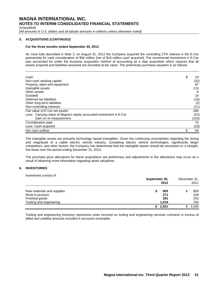*[Unaudited]*

*[All amounts in U.S. dollars and all tabular amounts in millions unless otherwise noted]*

#### **5. ACQUISITIONS (CONTINUED)**

#### **For the three months ended September 30, 2012**

As more fully described in Note 2, on August 31, 2012 the Company acquired the controlling 27% interest in the E-Car partnership for cash consideration of \$56 million [net of \$19 million cash acquired]. The incremental investment in E-Car was accounted for under the business acquisition method of accounting as a step acquisition which requires that all assets acquired and liabilities assumed are recorded at fair value. The preliminary purchase equation is as follows:

| Cash                                                                 | \$<br>19 |
|----------------------------------------------------------------------|----------|
| Non-cash working capital                                             | (32)     |
| Property, plant and equipment                                        | 87       |
| Intangible assets                                                    | 210      |
| Other assets                                                         | 9        |
| Goodwill                                                             | 16       |
| Deferred tax liabilities                                             | (16)     |
| Other long-term liabilities                                          | (2)      |
| Non-controlling interests                                            | (11)     |
| Fair value of E-Car net assets                                       | 280      |
| Less: Carrying value of Magna's equity accounted investment in E-Car | (52)     |
| Gain on re-measurement                                               | (153)    |
| Consideration paid                                                   | 75       |
| Less: Cash acquired                                                  | (19)     |
| Net cash outflow                                                     | 56       |

The intangible assets are primarily technology based intangibles. Given the continuing uncertainties regarding the timing and magnitude of a viable electric vehicle industry, competing electric vehicle technologies, significantly larger competitors, and other factors, the Company has determined that the intangible assets should be amortized on a straightline basis over the period ending December 31, 2013.

The purchase price allocations for these acquisitions are preliminary and adjustments to the allocations may occur as a result of obtaining more information regarding asset valuations.

#### **6. INVENTORIES**

Inventories consist of:

|                            | September 30,<br>2012 | December 31,<br>2011 |  |  |
|----------------------------|-----------------------|----------------------|--|--|
| Raw materials and supplies | 905                   | 800                  |  |  |
| Work-in-process            | 271                   | 229                  |  |  |
| Finished goods             | 291                   | 253                  |  |  |
| Tooling and engineering    | 1.034                 | 763                  |  |  |
|                            | 2,501                 | 2.045                |  |  |

Tooling and engineering inventory represents costs incurred on tooling and engineering services contracts in excess of billed and unbilled amounts included in accounts receivable.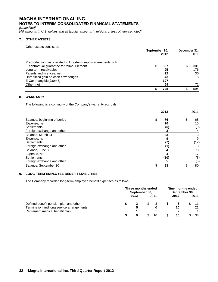*[Unaudited]*

*[All amounts in U.S. dollars and all tabular amounts in millions unless otherwise noted]*

#### **7. OTHER ASSETS**

Other assets consist of:

|                                                                 | September 30,<br>2012 |  |     |  |  |
|-----------------------------------------------------------------|-----------------------|--|-----|--|--|
| Preproduction costs related to long-term supply agreements with |                       |  |     |  |  |
| contractual guarantee for reimbursement                         | 307                   |  | 301 |  |  |
| Long-term receivables                                           | 95                    |  | 176 |  |  |
| Patents and licences, net                                       | 22                    |  | 30  |  |  |
| Unrealized gain on cash flow hedges                             | 43                    |  | 15  |  |  |
| E-Car intangible [note 5]                                       | 197                   |  |     |  |  |
| Other, net                                                      | 64                    |  | 72  |  |  |
|                                                                 | 728                   |  | 594 |  |  |

#### **8. WARRANTY**

The following is a continuity of the Company's warranty accruals:

|                              | 2012     | 2011 |      |  |
|------------------------------|----------|------|------|--|
| Balance, beginning of period | \$<br>76 | \$   | 68   |  |
| Expense, net                 | 10       |      | 10   |  |
| <b>Settlements</b>           | (5)      |      | (9)  |  |
| Foreign exchange and other   |          |      | 4    |  |
| Balance, March 31            | 83       |      | 73   |  |
| Expense, net                 | 9        |      | 9    |  |
| Settlements                  |          |      | (12) |  |
| Foreign exchange and other   |          |      | 3    |  |
| Balance, June 30             | 84       |      | 73   |  |
| Expense, net                 | 4        |      | 17   |  |
| <b>Settlements</b>           | (10)     |      | (5)  |  |
| Foreign exchange and other   | 5        |      | (5)  |  |
| Balance, September 30        | \$<br>83 |      | 80   |  |

#### **9. LONG-TERM EMPLOYEE BENEFIT LIABILITIES**

The Company recorded long-term employee benefit expenses as follows:

|                                                                              | Three months ended<br>September 30, |      |     | Nine months ended<br>September 30, |      |  |      |
|------------------------------------------------------------------------------|-------------------------------------|------|-----|------------------------------------|------|--|------|
|                                                                              |                                     | 2012 |     | 2011                               | 2012 |  | 2011 |
| Defined benefit pension plan and other                                       |                                     |      | SS. |                                    | -8   |  |      |
| Termination and long service arrangements<br>Retirement medical benefit plan |                                     |      |     | 6                                  | 20   |  | 21   |
|                                                                              |                                     | 9    |     | 10                                 | 30   |  | 33   |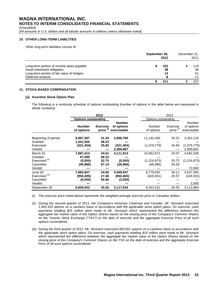*[Unaudited]*

*[All amounts in U.S. dollars and all tabular amounts in millions unless otherwise noted]*

#### **10. OTHER LONG-TERM LIABILITIES**

Other long-term liabilities consist of:

|                                           |     | September 30,<br>2012 |  |     |
|-------------------------------------------|-----|-----------------------|--|-----|
| Long-term portion of income taxes payable | 152 |                       |  | 119 |
| Asset retirement obligation               | 38  |                       |  | 36  |
| Long-term portion of fair value of hedges | 13  |                       |  | 41  |
| Deferred revenue                          |     |                       |  | 11  |
|                                           | 211 |                       |  | 207 |

#### **11. STOCK-BASED COMPENSATION**

#### **[a] Incentive Stock Option Plan**

The following is a continuity schedule of options outstanding [number of options in the table below are expressed in whole numbers]:

|                                                                         |                                            | 2012                             |                                            | 2011                                   |                                  |                                     |
|-------------------------------------------------------------------------|--------------------------------------------|----------------------------------|--------------------------------------------|----------------------------------------|----------------------------------|-------------------------------------|
|                                                                         | <b>Options outstanding</b>                 |                                  |                                            | Options outstanding                    |                                  |                                     |
|                                                                         | <b>Number</b><br>of options                | <b>Exercise</b><br>price (i)     | <b>Number</b><br>of options<br>exercisable | Number<br>of options                   | Exercise<br>price <sup>(i)</sup> | Number<br>of options<br>exercisable |
| Beginning of period<br>Granted<br>Exercised                             | 6,867,367<br>1,341,500<br>(321,454)        | 31.54<br>48.22<br>25.83          | 2,066,700<br>(321, 454)                    | 11,142,450<br>(1,079,779)              | 34.22<br>44.94                   | 3,362,116<br>(1,079,779)            |
| Vested                                                                  |                                            |                                  | 2,366,667                                  |                                        |                                  | 2,400,001                           |
| March 31<br>Granted<br>Exercised <sup>(ii)</sup><br>Cancelled<br>Vested | 7,887,413<br>47,500<br>(5,000)<br>(46,966) | 34.61<br>48.22<br>32.75<br>57.14 | 4,111,913<br>(5,000)<br>(36,966)           | 10,062,671<br>(1,216,973)<br>(66, 666) | 33.07<br>25.72<br>30.00          | 4,682,338<br>(1,216,973)<br>72,000  |
| June 30<br>Exercised <sup>(iii)</sup><br>Cancelled<br>Vested            | 7,882,947<br>(950.405)<br>(6,000)          | 34.56<br>27.46<br>50.66          | 4,069,947<br>(950,405)<br>(2,000)          | 8,779,032<br>(426, 501)                | 34.11<br>25.57                   | 3,537,365<br>(426, 501)<br>2,000    |
| September 30                                                            | 6,926,542                                  | 35.52                            | 3,117,542                                  | 8,352,531                              | 34.55                            | 3,112,864                           |

*(i) The exercise price noted above represents the weighted average exercise price in Canadian dollars.*

*(ii) During the second quarter of 2011, the Company's Honorary Chairman and Founder, Mr. Stronach exercised 1,083,333 options on a cashless basis in accordance with the applicable stock option plans. On exercise, cash payments totalling \$25 million were made to Mr. Stronach which represented the difference between the aggregate fair market value of the Option Shares based on the closing price of the Company's Common Shares on the Toronto Stock Exchange ["TSX"] on the date of exercise and the aggregate Exercise Price of all such options surrendered.*

*(iii) During the third quarter of 2012, Mr. Stronach exercised 900,001 options on a cashless basis in accordance with the applicable stock option plans. On exercise, cash payments totalling \$15 million were made to Mr. Stronach which represented the difference between the aggregate fair market value of the Option Shares based on the closing price of the Company's Common Shares on the TSX on the date of exercise and the aggregate Exercise Price of all such options surrendered.*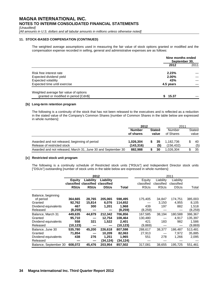*[Unaudited]*

*[All amounts in U.S. dollars and all tabular amounts in millions unless otherwise noted]*

#### **11. STOCK-BASED COMPENSATION (CONTINUED)**

The weighted average assumptions used in measuring the fair value of stock options granted or modified and the compensation expense recorded in selling, general and administrative expenses are as follows:

|                                                                                 |           | Nine months ended<br>September 30, |  |  |  |
|---------------------------------------------------------------------------------|-----------|------------------------------------|--|--|--|
|                                                                                 | 2012      | 2011                               |  |  |  |
| Risk free interest rate                                                         | 2.23%     |                                    |  |  |  |
| Expected dividend yield                                                         | 2.00%     |                                    |  |  |  |
| <b>Expected volatility</b>                                                      | 43%       |                                    |  |  |  |
| Expected time until exercise                                                    | 4.5 years |                                    |  |  |  |
| Weighted average fair value of options<br>granted or modified in period [Cdn\$] | 15.37     |                                    |  |  |  |

#### **[b] Long-term retention program**

The following is a continuity of the stock that has not been released to the executives and is reflected as a reduction in the stated value of the Company's Common Shares [number of Common Shares in the table below are expressed in whole numbers]:

|                                                                              | 2012                                                 |  |            | 2011                    |                     |           |                 |  |
|------------------------------------------------------------------------------|------------------------------------------------------|--|------------|-------------------------|---------------------|-----------|-----------------|--|
|                                                                              | <b>Stated</b><br><b>Number</b><br>of shares<br>value |  |            |                         | Number<br>of Shares |           | Stated<br>value |  |
| Awarded and not released, beginning of period<br>Release of restricted stock | 1,026,304<br>(143, 316)                              |  | -35<br>(5) | 1.182.736<br>(156, 432) |                     | 40<br>(5) |                 |  |
| Awarded and not released, March 31, June 30 and September 30                 | 882.988                                              |  | 30         | 1.026.304               |                     | 35        |                 |  |

#### **[c] Restricted stock unit program**

The following is a continuity schedule of Restricted stock units ["RSUs"] and Independent Director stock units ["DSUs"] outstanding [number of stock units in the table below are expressed in whole numbers]:

|                       | 2012          |                                  |             |           |             |             | 2011        |         |
|-----------------------|---------------|----------------------------------|-------------|-----------|-------------|-------------|-------------|---------|
|                       | <b>Equity</b> | Liability                        | Liability   |           | Equity      | Liability   | Liability   |         |
|                       |               | classified classified classified |             |           | classified  | classified  | classified  |         |
|                       | <b>RSUs</b>   | <b>RSUs</b>                      | <b>DSUs</b> | Total     | <b>RSUs</b> | <b>RSUs</b> | <b>DSUs</b> | Total   |
| Balance, beginning    |               |                                  |             |           |             |             |             |         |
| of period             | 364,665       | 28,765                           | 205,065     | 598,495   | 175,405     | 34,847      | 174,751     | 385,003 |
| Granted               | 92,762        | 15,814                           | 6,076       | 114,652   |             | 3.150       | 4,955       | 8,105   |
| Dividend equivalents  | 467           | 300                              | 1,201       | 1,968     | 439         | 197         | 882         | 1,518   |
| Released              | (8,259)       |                                  |             | (8,259)   | (8,259)     |             |             | (8,259) |
| Balance, March 31     | 449,635       | 44,879                           | 212,342     | 706,856   | 167,585     | 38,194      | 180,588     | 386,367 |
| Granted               | 95,710        |                                  | 12,754      | 108,464   | 130,480     |             | 4.917       | 135,397 |
| Dividend equivalents  | 558           | 321                              | 1,522       | 2,401     | 421         | 183         | 982         | 1,586   |
| Released              | (10,123)      |                                  |             | (10, 123) | (9,869)     |             |             | (9,869) |
| Balance, June 30      | 535,780       | 45,200                           | 226,618     | 807,598   | 288,617     | 38,377      | 186,487     | 513,481 |
| Granted               | 71,854        |                                  | 10,209      | 82,063    | 27,913      |             | 7,972       | 35,885  |
| Dividend equivalents  | 438           | 276                              | 1,251       | 1,965     | 551         | 278         | 1,266       | 2,095   |
| Released              |               |                                  | (34,124)    | (34,124)  |             |             |             |         |
| Balance, September 30 | 608.072       | 45,476                           | 203.954     | 857,502   | 317,081     | 38,655      | 195,725     | 551,461 |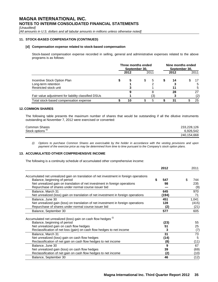*[Unaudited]*

*[All amounts in U.S. dollars and all tabular amounts in millions unless otherwise noted]*

#### **11. STOCK-BASED COMPENSATION (CONTINUED)**

#### **[d] Compensation expense related to stock-based compensation**

Stock-based compensation expense recorded in selling, general and administrative expenses related to the above programs is as follows:

|                                                     | Three months ended<br>September 30. |      |   | Nine months ended<br>September 30. |  |      |  |      |
|-----------------------------------------------------|-------------------------------------|------|---|------------------------------------|--|------|--|------|
|                                                     |                                     | 2012 |   | 2011                               |  | 2012 |  | 2011 |
| Incentive Stock Option Plan                         |                                     | 5    | S | 5                                  |  | 14   |  | 17   |
| Long-term retention                                 |                                     |      |   |                                    |  |      |  | 5    |
| Restricted stock unit                               |                                     |      |   |                                    |  |      |  | -5   |
|                                                     |                                     |      |   |                                    |  | 28   |  | 27   |
| Fair value adjustment for liability classified DSUs |                                     |      |   | (3)                                |  |      |  | (2)  |
| Total stock-based compensation expense              |                                     | 10   |   | 5                                  |  | 31   |  | 25   |

#### **12. COMMON SHARES**

The following table presents the maximum number of shares that would be outstanding if all the dilutive instruments outstanding at November 7, 2012 were exercised or converted:

| Common Shares                | 233,228,126 |
|------------------------------|-------------|
| Stock options <sup>(i)</sup> | 6.926.542   |
|                              | 240,154,668 |

*(i) Options to purchase Common Shares are exercisable by the holder in accordance with the vesting provisions and upon payment of the exercise price as may be determined from time to time pursuant to the Company's stock option plans.*

#### **13. ACCUMULATED OTHER COMPREHENSIVE INCOME**

The following is a continuity schedule of accumulated other comprehensive income:

|                                                                                        | 2012  | 2011            |
|----------------------------------------------------------------------------------------|-------|-----------------|
| Accumulated net unrealized gain on translation of net investment in foreign operations |       |                 |
| Balance, beginning of period                                                           | 547   | \$.<br>744      |
| Net unrealized gain on translation of net investment in foreign operations             | 98    | 235             |
| Repurchase of shares under normal course issuer bid                                    |       | (9)             |
| Balance, March 31                                                                      | 645   | 970             |
| Net unrealized (loss) gain on translation of net investment in foreign operations      | (194) | 71              |
| Balance, June 30                                                                       | 451   | 1,041           |
| Net unrealized gain (loss) on translation of net investment in foreign operations      | 128   | (415)           |
| Repurchase of shares under normal course issuer bid                                    | (2)   | (21)            |
| Balance, September 30                                                                  | 577   | 605             |
| Accumulated net unrealized (loss) gain on cash flow hedges (i)                         |       |                 |
| Balance, beginning of period                                                           | (23)  | 55              |
| Net unrealized gain on cash flow hedges                                                | 51    | 25              |
| Reclassification of net loss (gain) on cash flow hedges to net income                  | 3     | (7)             |
| Balance, March 31                                                                      | 31    | $\overline{73}$ |
| Net unrealized (loss) gain on cash flow hedges                                         | (14)  | 5               |
| Reclassification of net gain on cash flow hedges to net income                         | (8)   | (11)            |
| Balance, June 30                                                                       | 9     | 67              |
| Net unrealized gain (loss) on cash flow hedges                                         | 39    | (69)            |
| Reclassification of net gain on cash flow hedges to net income                         | (2)   | (10)            |
| Balance, September 30                                                                  | 46    | (12)            |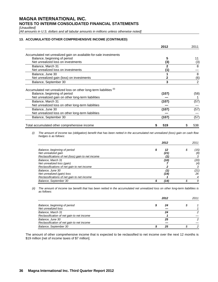*[Unaudited]*

*[All amounts in U.S. dollars and all tabular amounts in millions unless otherwise noted]*

#### **13. ACCUMULATED OTHER COMPREHENSIVE INCOME (CONTINUED)**

|                                                                     | 2012  | 2011 |
|---------------------------------------------------------------------|-------|------|
| Accumulated net unrealized gain on available-for-sale investments   |       |      |
| Balance, beginning of period                                        | 5     | 11   |
| Net unrealized loss on investments                                  | (3)   | (3)  |
| Balance, March 31                                                   | 2     | 8    |
| Net unrealized loss on investments                                  |       |      |
| Balance, June 30                                                    |       | 8    |
| Net unrealized gain (loss) on investments                           |       | (6)  |
| Balance, September 30                                               | 3     | 2    |
| Accumulated net unrealized loss on other long-term liabilities (ii) |       |      |
| Balance, beginning of period                                        | (107) | (58) |
| Net unrealized gain on other long-term liabilities                  |       |      |
| Balance, March 31                                                   | (107) | (57) |
| Net unrealized loss on other long-term liabilities                  |       |      |
| Balance, June 30                                                    | (107) | (57) |
| Net unrealized loss on other long-term liabilities                  |       |      |
| Balance, September 30                                               | (107) | (57) |
| Total accumulated other comprehensive income                        | 519   | 538  |

*(i) The amount of income tax (obligation) benefit that has been netted in the accumulated net unrealized (loss) gain on cash flow hedges is as follows:*

|                                                    | 2012 |   | 2011 |
|----------------------------------------------------|------|---|------|
| Balance, beginning of period                       | 12   | S | (15) |
| Net unrealized gain                                | (21) |   | (8)  |
| Reclassifications of net (loss) gain to net income |      |   |      |
| Balance, March 31                                  | (10) |   | (20) |
| Net unrealized loss (gain)                         |      |   | (4)  |
| Reclassifications of net gain to net income        |      |   |      |
| Balance, June 30                                   |      |   | (21) |
| Net unrealized (gain) loss                         | (14) |   | 26   |
| Reclassifications of net gain to net income        |      |   |      |
| Balance, September 30                              | '14) |   | 9    |

*(ii) The amount of income tax benefit that has been netted in the accumulated net unrealized loss on other long-term liabilities is as follows:*

|                                                                 | 2012 |  |   |
|-----------------------------------------------------------------|------|--|---|
| Balance, beginning of period<br>Net unrealized loss             |      |  |   |
| Balance, March 31<br>Reclassification of net gain to net income | 24   |  |   |
| Balance, June 30<br>Reclassification of net gain to net income  | 25   |  | ◠ |
| Balance, September 30                                           | 25   |  | ົ |

The amount of other comprehensive income that is expected to be reclassified to net income over the next 12 months is \$19 million [net of income taxes of \$7 million].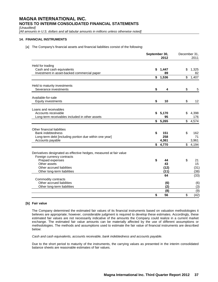*[Unaudited]*

*[All amounts in U.S. dollars and all tabular amounts in millions unless otherwise noted]*

#### **14. FINANCIAL INSTRUMENTS**

[a] The Company's financial assets and financial liabilities consist of the following:

|                                                                                                                                                                                                  | September 30,<br>2012 |                          | December 31,<br>2011 |                          |
|--------------------------------------------------------------------------------------------------------------------------------------------------------------------------------------------------|-----------------------|--------------------------|----------------------|--------------------------|
| Held for trading<br>Cash and cash equivalents                                                                                                                                                    | \$                    | 1,447<br>89              | \$                   | 1.325                    |
| Investment in asset-backed commercial paper                                                                                                                                                      | \$                    | 1,536                    | \$                   | 82<br>1,407              |
| Held to maturity investments<br>Severance investments                                                                                                                                            | \$                    | 4                        | \$                   | 5                        |
| Available-for-sale<br>Equity investments                                                                                                                                                         | \$                    | 10                       | \$                   | 12                       |
| Loans and receivables<br>Accounts receivable<br>Long-term receivables included in other assets                                                                                                   | \$                    | 5,170<br>95              | \$                   | 4,398<br>176             |
|                                                                                                                                                                                                  |                       | \$5,265                  |                      | \$4,574                  |
| Other financial liabilities<br><b>Bank indebtedness</b><br>Long-term debt [including portion due within one year]<br>Accounts payable                                                            | \$                    | 151<br>258<br>4,361      | \$                   | 162<br>71<br>3,961       |
|                                                                                                                                                                                                  | \$                    | 4,770                    | $^{\circ}$           | 4,194                    |
| Derivatives designated as effective hedges, measured at fair value<br>Foreign currency contracts<br>Prepaid expenses<br>Other assets<br>Other accrued liabilities<br>Other long-term liabilities | \$                    | 44<br>43<br>(12)<br>(11) | \$                   | 21<br>15<br>(31)<br>(38) |
| Commodity contracts                                                                                                                                                                              |                       | 64                       |                      | (33)                     |
| Other accrued liabilities<br>Other long-term liabilities                                                                                                                                         |                       | (6)<br>(2)               |                      | (6)<br>(3)               |
|                                                                                                                                                                                                  | \$                    | (8)<br>56                | \$                   | (9)<br>(42)              |

#### **[b] Fair value**

The Company determined the estimated fair values of its financial instruments based on valuation methodologies it believes are appropriate; however, considerable judgment is required to develop these estimates. Accordingly, these estimated fair values are not necessarily indicative of the amounts the Company could realize in a current market exchange. The estimated fair value amounts can be materially affected by the use of different assumptions or methodologies. The methods and assumptions used to estimate the fair value of financial instruments are described below:

*Cash and cash equivalents, accounts receivable, bank indebtedness and accounts payable.*

Due to the short period to maturity of the instruments, the carrying values as presented in the interim consolidated balance sheets are reasonable estimates of fair values.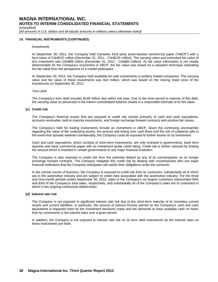*[Unaudited]*

*[All amounts in U.S. dollars and all tabular amounts in millions unless otherwise noted]*

#### **14. FINANCIAL INSTRUMENTS (CONTINUED)**

#### *Investments*

At September 30, 2012, the Company held Canadian third party asset-backed commercial paper ["ABCP"] with a face value of Cdn\$107 million [December 31, 2011 - Cdn\$125 million]. The carrying value and estimated fair value of this investment was Cdn\$88 million [December 31, 2011 - Cdn\$84 million]. As fair value information is not readily determinable for the Company's investment in ABCP, the fair value was based on a valuation technique estimating the fair value from the perspective of a market participant.

At September 30, 2012, the Company held available-for-sale investments in publicly traded companies. The carrying value and fair value of these investments was \$10 million, which was based on the closing share price of the investments on September 30, 2012.

#### *Term debt*

The Company's term debt includes \$148 million due within one year. Due to the short period to maturity of this debt, the carrying value as presented in the interim consolidated balance sheets is a reasonable estimate of its fair value.

#### **[c] Credit risk**

The Company's financial assets that are exposed to credit risk consist primarily of cash and cash equivalents, accounts receivable, held to maturity investments, and foreign exchange forward contracts with positive fair values.

The Company's held for trading investments include an investment in ABCP. Given the continuing uncertainties regarding the value of the underlying assets, the amount and timing over cash flows and the risk of collateral calls in the event that spreads widened considerably, the Company could be exposed to further losses on its investment.

Cash and cash equivalents, which consists of short-term investments, are only invested in governments, bank term deposits and bank commercial paper with an investment grade credit rating. Credit risk is further reduced by limiting the amount which is invested in certain governments or any major financial institution.

The Company is also exposed to credit risk from the potential default by any of its counterparties on its foreign exchange forward contracts. The Company mitigates this credit risk by dealing with counterparties who are major financial institutions that the Company anticipates will satisfy their obligations under the contracts.

In the normal course of business, the Company is exposed to credit risk from its customers, substantially all of which are in the automotive industry and are subject to credit risks associated with the automotive industry. For the three and nine-month periods ended September 30, 2012, sales to the Company's six largest customers represented 84% and 83% of the Company's total sales, respectively, and substantially all of the Company's sales are to customers in which it has ongoing contractual relationships.

#### **[d] Interest rate risk**

The Company is not exposed to significant interest rate risk due to the short-term maturity of its monetary current assets and current liabilities. In particular, the amount of interest income earned on the Company's cash and cash equivalents is impacted more by the investment decisions made and the demands to have available cash on hand, than by movements in the interest rates over a given period.

In addition, the Company is not exposed to interest rate risk on its term debt instruments as the interest rates on these instruments are fixed.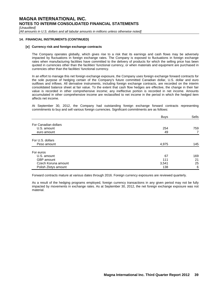*[Unaudited]*

*[All amounts in U.S. dollars and all tabular amounts in millions unless otherwise noted]*

#### **14. FINANCIAL INSTRUMENTS (CONTINUED)**

#### **[e] Currency risk and foreign exchange contracts**

The Company operates globally, which gives rise to a risk that its earnings and cash flows may be adversely impacted by fluctuations in foreign exchange rates. The Company is exposed to fluctuations in foreign exchange rates when manufacturing facilities have committed to the delivery of products for which the selling price has been quoted in currencies other than the facilities' functional currency, or when materials and equipment are purchased in currencies other than the facilities' functional currency.

In an effort to manage this net foreign exchange exposure, the Company uses foreign exchange forward contracts for the sole purpose of hedging certain of the Company's future committed Canadian dollar, U.S. dollar and euro outflows and inflows. All derivative instruments, including foreign exchange contracts, are recorded on the interim consolidated balance sheet at fair value. To the extent that cash flow hedges are effective, the change in their fair value is recorded in other comprehensive income; any ineffective portion is recorded in net income. Amounts accumulated in other comprehensive income are reclassified to net income in the period in which the hedged item affects net income.

At September 30, 2012, the Company had outstanding foreign exchange forward contracts representing commitments to buy and sell various foreign currencies. Significant commitments are as follows:

|                      | <b>Buys</b> | Sells |
|----------------------|-------------|-------|
| For Canadian dollars |             |       |
| U.S. amount          | 254         | 759   |
| euro amount          | 49          | 7     |
| For U.S. dollars     |             |       |
| Peso amount          | 4,975       | 145   |
| For euros            |             |       |
| U.S. amount          | 67          | 169   |
| GBP amount           | 111         | 21    |
| Czech Koruna amount  | 3,541       | 25    |
| Polish Zlotys amount | 138         | 6     |

Forward contracts mature at various dates through 2016. Foreign currency exposures are reviewed quarterly.

As a result of the hedging programs employed, foreign currency transactions in any given period may not be fully impacted by movements in exchange rates. As at September 30, 2012, the net foreign exchange exposure was not material.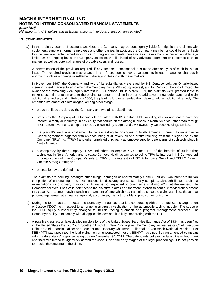*[Unaudited]*

*[All amounts in U.S. dollars and all tabular amounts in millions unless otherwise noted]*

#### **15. CONTINGENCIES**

[a] In the ordinary course of business activities, the Company may be contingently liable for litigation and claims with customers, suppliers, former employees and other parties. In addition, the Company may be, or could become, liable to incur environmental remediation costs to bring environmental contamination levels back within acceptable legal limits. On an ongoing basis, the Company assesses the likelihood of any adverse judgments or outcomes to these matters as well as potential ranges of probable costs and losses.

A determination of the provision required, if any, for these contingencies is made after analysis of each individual issue. The required provision may change in the future due to new developments in each matter or changes in approach such as a change in settlement strategy in dealing with these matters.

In November 1997, the Company and two of its subsidiaries were sued by KS Centoco Ltd., an Ontario-based steering wheel manufacturer in which the Company has a 23% equity interest, and by Centoco Holdings Limited, the owner of the remaining 77% equity interest in KS Centoco Ltd. In March 1999, the plaintiffs were granted leave to make substantial amendments to the original statement of claim in order to add several new defendants and claim additional remedies, and in February 2006, the plaintiffs further amended their claim to add an additional remedy. The amended statement of claim alleges, among other things:

- breach of fiduciary duty by the Company and two of its subsidiaries;
- breach by the Company of its binding letter of intent with KS Centoco Ltd., including its covenant not to have any interest, directly or indirectly, in any entity that carries on the airbag business in North America, other than through MST Automotive Inc., a company to be 77% owned by Magna and 23% owned by Centoco Holdings Limited;
- the plaintiff's exclusive entitlement to certain airbag technologies in North America pursuant to an exclusive licence agreement, together with an accounting of all revenues and profits resulting from the alleged use by the Company, TRW Inc. ["TRW"] and other unrelated third party automotive supplier defendants of such technology in North America;
- a conspiracy by the Company, TRW and others to deprive KS Centoco Ltd. of the benefits of such airbag technology in North America and to cause Centoco Holdings Limited to sell to TRW its interest in KS Centoco Ltd. in conjunction with the Company's sale to TRW of its interest in MST Automotive GmbH and TEMIC Bayern-Chemie Airbag GmbH; and
- oppression by the defendants.

The plaintiffs are seeking, amongst other things, damages of approximately Cdn\$3.5 billion. Document production, completion of undertakings and examinations for discovery are substantially complete, although limited additional examinations for discovery may occur. A trial is not expected to commence until mid-2014, at the earliest. The Company believes it has valid defences to the plaintiffs' claims and therefore intends to continue to vigorously defend this case. At this time, notwithstanding the amount of time which has transpired since the claim was filed, these legal proceedings remain at an early stage and, accordingly, it is not possible to predict their outcome.

- [b] During the fourth quarter of 2011, the Company announced that it is cooperating with the United States Department of Justice ["DOJ"] with respect to an ongoing antitrust investigation of the automobile tooling industry. The scope of the DOJ inquiry subsequently changed to include tooling quotation and program management practices. The Company's policy is to comply with all applicable laws and it is fully cooperating with the DOJ.
- [c] A putative class action lawsuit alleging violations of the United States Securities Exchange Act of 1934 has been filed in the United States District Court, Southern District of New York, against the Company, as well as its Chief Executive Officer, Chief Financial Officer and Founder and Honorary Chairman. Boilermaker-Blacksmith National Pension Trust ["BBNPT"] was appointed the lead plaintiff on an uncontested motion. BBNPT has since filed an amended complaint, with the defendants' response being due on November 30, 2012. The defendants believe the lawsuit is without merit and therefore intend to vigorously defend the case. Given the early stages of the legal proceedings, it is not possible to predict the outcome of the claim.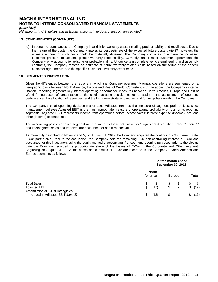*[Unaudited]*

*[All amounts in U.S. dollars and all tabular amounts in millions unless otherwise noted]*

#### **15. CONTINGENCIES (CONTINUED)**

[d] In certain circumstances, the Company is at risk for warranty costs including product liability and recall costs. Due to the nature of the costs, the Company makes its best estimate of the expected future costs *[note 8]*; however, the ultimate amount of such costs could be materially different. The Company continues to experience increased customer pressure to assume greater warranty responsibility. Currently, under most customer agreements, the Company only accounts for existing or probable claims. Under certain complete vehicle engineering and assembly contracts, the Company records an estimate of future warranty-related costs based on the terms of the specific customer agreements, and the specific customer's warranty experience.

#### **16. SEGMENTED INFORMATION**

Given the differences between the regions in which the Company operates, Magna's operations are segmented on a geographic basis between North America, Europe and Rest of World. Consistent with the above, the Company's internal financial reporting segments key internal operating performance measures between North America, Europe and Rest of World for purposes of presentation to the chief operating decision maker to assist in the assessment of operating performance, the allocation of resources, and the long-term strategic direction and future global growth of the Company.

The Company's chief operating decision maker uses Adjusted EBIT as the measure of segment profit or loss, since management believes Adjusted EBIT is the most appropriate measure of operational profitability or loss for its reporting segments. Adjusted EBIT represents income from operations before income taxes; interest expense (income), net; and other (income) expense, net.

The accounting policies of each segment are the same as those set out under "Significant Accounting Policies" *[note 1]* and intersegment sales and transfers are accounted for at fair market value.

As more fully described in Notes 2 and 5, on August 31, 2012 the Company acquired the controlling 27% interest in the E-Car partnership. Prior to the acquisition, the Company held the remaining 73% non-controlling interest in E-Car and accounted for this investment using the equity method of accounting. For segment reporting purposes, prior to the closing date the Company recorded its proportionate share of the losses of E-Car in the Corporate and Other segment. Beginning on August 31, 2012, the consolidated results of E-Car are recorded in the Company's North America and Europe segments as follows:

|                                                                         |                         | For the month ended<br><b>September 30, 2012</b> |          |               |    |             |  |  |  |  |  |  |
|-------------------------------------------------------------------------|-------------------------|--------------------------------------------------|----------|---------------|----|-------------|--|--|--|--|--|--|
|                                                                         | <b>North</b><br>America |                                                  |          | <b>Europe</b> |    | Total       |  |  |  |  |  |  |
| <b>Total Sales</b><br><b>Adjusted EBIT</b>                              | \$<br>3<br>\$<br>(17)   |                                                  | \$<br>\$ | -3<br>(2)     | \$ | - 6<br>(19) |  |  |  |  |  |  |
| Amortization of E-Car Intangibles<br>included in Adjusted EBIT [note 5] | \$<br>(13)              |                                                  | \$       |               | S  | (13)        |  |  |  |  |  |  |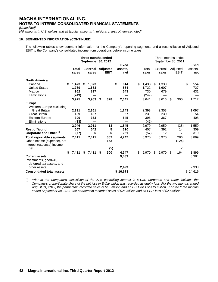*[Unaudited]*

*[All amounts in U.S. dollars and all tabular amounts in millions unless otherwise noted]*

#### **16. SEGMENTED INFORMATION (CONTINUED)**

The following tables show segment information for the Company's reporting segments and a reconciliation of Adjusted EBIT to the Company's consolidated income from operations before income taxes:

|                                                                                                      |                                      |    | Three months ended<br><b>September 30, 2012</b> |    |                   |    |                             |                                      |     | Three months ended<br>September 30, 2011 |                                |                             |  |  |  |  |  |  |  |  |  |  |  |  |             |  |                 |  |  |  |                                |                |  |                   |                         |                         |
|------------------------------------------------------------------------------------------------------|--------------------------------------|----|-------------------------------------------------|----|-------------------|----|-----------------------------|--------------------------------------|-----|------------------------------------------|--------------------------------|-----------------------------|--|--|--|--|--|--|--|--|--|--|--|--|-------------|--|-----------------|--|--|--|--------------------------------|----------------|--|-------------------|-------------------------|-------------------------|
|                                                                                                      | Total<br>sales                       |    | <b>External</b><br>sales                        |    |                   |    |                             |                                      |     |                                          |                                |                             |  |  |  |  |  |  |  |  |  |  |  |  | <b>EBIT</b> |  | <b>Adjusted</b> |  |  |  | <b>Fixed</b><br>assets.<br>net | Total<br>sales |  | External<br>sales | Adjusted<br><b>EBIT</b> | Fixed<br>assets.<br>net |
| <b>North America</b><br>Canada<br><b>United States</b><br>Mexico<br>Eliminations                     | \$<br>1,473<br>1,789<br>962<br>(249) | \$ | 1,373<br>1,683<br>897                           |    |                   | \$ | 614<br>884<br>543           | \$<br>1,438<br>1,722<br>730<br>(249) | \$. | 1,330<br>1,607<br>679                    |                                | \$<br>554<br>727<br>431     |  |  |  |  |  |  |  |  |  |  |  |  |             |  |                 |  |  |  |                                |                |  |                   |                         |                         |
| <b>Europe</b><br>Western Europe excluding<br><b>Great Britain</b><br><b>Great Britain</b>            | 3,975<br>2,391<br>189<br>399         |    | 3,953<br>2,361<br>187<br>363                    | \$ | 328               |    | 2,041<br>1,243<br>57<br>545 | 3,641<br>2,393<br>231<br>396         |     | 3,616<br>2,353<br>230<br>367             | \$<br>300                      | 1,712<br>1,097<br>54<br>408 |  |  |  |  |  |  |  |  |  |  |  |  |             |  |                 |  |  |  |                                |                |  |                   |                         |                         |
| Eastern Europe<br>Eliminations                                                                       | (33)                                 |    |                                                 |    |                   |    |                             | (41)                                 |     |                                          |                                |                             |  |  |  |  |  |  |  |  |  |  |  |  |             |  |                 |  |  |  |                                |                |  |                   |                         |                         |
| <b>Rest of World</b><br>Corporate and Other <sup>(i)</sup>                                           | 2,946<br>567<br>(77)                 |    | 2,911<br>542<br>5                               |    | 13<br>5<br>6      |    | 1,845<br>610<br>251         | 2,979<br>407<br>(57)                 |     | 2,950<br>392<br>12                       | (35)<br>14<br>$\overline{7}$   | 1,559<br>309<br>319         |  |  |  |  |  |  |  |  |  |  |  |  |             |  |                 |  |  |  |                                |                |  |                   |                         |                         |
| <b>Total reportable segments</b><br>Other income (expense), net<br>Interest (expense) income,<br>net | 7,411                                |    | 7,411                                           |    | 352<br>153<br>(5) |    | 4,747                       | 6,970                                |     | 6,970                                    | 286<br>(124)<br>$\overline{2}$ | 3,899                       |  |  |  |  |  |  |  |  |  |  |  |  |             |  |                 |  |  |  |                                |                |  |                   |                         |                         |
| <b>Current assets</b><br>Investments, goodwill,<br>deferred tax assets, and                          | \$<br>7,411                          | \$ | 7,411                                           | \$ | 500               |    | 4,747<br>9,433              | \$<br>6,970                          | \$  | 6,970                                    | \$<br>164                      | 3,899<br>8,384              |  |  |  |  |  |  |  |  |  |  |  |  |             |  |                 |  |  |  |                                |                |  |                   |                         |                         |
| other assets<br><b>Consolidated total assets</b>                                                     |                                      |    |                                                 |    |                   |    | 2,493<br>\$16,673           |                                      |     |                                          |                                | 2,333<br>\$14,616           |  |  |  |  |  |  |  |  |  |  |  |  |             |  |                 |  |  |  |                                |                |  |                   |                         |                         |

*(i) Prior to the Company's acquisition of the 27% controlling interest in E-Car, Corporate and Other includes the Company's proportionate share of the net loss in E-Car which was recorded as equity loss. For the two months ended August 31, 2012, the partnership recorded sales of \$15 million and an EBIT loss of \$19 million. For the three months ended September 30, 2011, the partnership recorded sales of \$26 million and an EBIT loss of \$20 million.*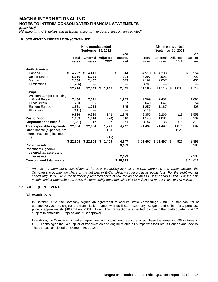*[Unaudited]*

*[All amounts in U.S. dollars and all tabular amounts in millions unless otherwise noted]*

#### **16. SEGMENTED INFORMATION (CONTINUED)**

|                                    |            | Nine months ended<br><b>September 30, 2012</b> |                 |   |              | Nine months ended<br>September 30, 2011 |  |             |    |             |    |          |  |  |  |
|------------------------------------|------------|------------------------------------------------|-----------------|---|--------------|-----------------------------------------|--|-------------|----|-------------|----|----------|--|--|--|
|                                    |            |                                                |                 |   | <b>Fixed</b> |                                         |  |             |    |             |    | Fixed    |  |  |  |
|                                    | Total      | <b>External</b>                                | <b>Adjusted</b> |   | assets.      | Total                                   |  | External    |    | Adjusted    |    | assets.  |  |  |  |
|                                    | sales      | sales                                          | <b>EBIT</b>     |   | net          | sales                                   |  | sales       |    | <b>EBIT</b> |    | net      |  |  |  |
| <b>North America</b>               |            |                                                |                 |   |              |                                         |  |             |    |             |    |          |  |  |  |
| Canada                             | 4,722<br>S | \$<br>4,411                                    |                 | S | 614          | 4,510<br>\$                             |  | 4,203<br>\$ |    |             | \$ | 554      |  |  |  |
| <b>United States</b>               | 5,616      | 5,265                                          |                 |   | 884          | 5,297                                   |  | 4,905       |    |             |    | 727      |  |  |  |
| Mexico                             | 2,638      | 2,467                                          |                 |   | 543          | 2.162                                   |  | 2,007       |    |             |    | 431      |  |  |  |
| Eliminations                       | (766)      |                                                |                 |   |              | (789)                                   |  |             |    |             |    |          |  |  |  |
|                                    | 12,210     | 12,143                                         | \$<br>1,148     |   | 2,041        | 11,180                                  |  | 11,115      | \$ | 1,038       |    | 1,712    |  |  |  |
| <b>Europe</b>                      |            |                                                |                 |   |              |                                         |  |             |    |             |    |          |  |  |  |
| Western Europe excluding           |            |                                                |                 |   |              |                                         |  |             |    |             |    |          |  |  |  |
| <b>Great Britain</b>               | 7,436      | 7,321                                          |                 |   | 1,243        | 7,569                                   |  | 7,452       |    |             |    | 1,097    |  |  |  |
| <b>Great Britain</b>               | 700        | 695                                            |                 |   | 57           | 649                                     |  | 647         |    |             |    | 54       |  |  |  |
| Eastern Europe                     | 1,331      | 1,214                                          |                 |   | 545          | 1,257                                   |  | 1,167       |    |             |    | 408      |  |  |  |
| Eliminations                       | (131)      |                                                |                 |   |              | (119)                                   |  |             |    |             |    |          |  |  |  |
|                                    | 9,336      | 9,230                                          | 141             |   | 1,845        | 9,356                                   |  | 9,266       |    | (19)        |    | 1,559    |  |  |  |
| <b>Rest of World</b>               | 1,489      | 1,414                                          | (20)            |   | 610          | 1,148                                   |  | 1,081       |    | 42          |    | 309      |  |  |  |
| Corporate and Other <sup>(i)</sup> | (231)      | 17                                             | 2               |   | 251          | (187)                                   |  | 35          |    | (15)        |    | 319      |  |  |  |
| <b>Total reportable segments</b>   | 22,804     | 22,804                                         | 1,271           |   | 4,747        | 21,497                                  |  | 21,497      |    | 1,046       |    | 3,899    |  |  |  |
| Other income (expense), net        |            |                                                | 153             |   |              |                                         |  |             |    | (123)       |    |          |  |  |  |
| Interest (expense) income,         |            |                                                |                 |   |              |                                         |  |             |    |             |    |          |  |  |  |
| net                                |            |                                                | (15)            |   |              |                                         |  |             |    | 3           |    |          |  |  |  |
|                                    | \$22,804   | \$22,804                                       | \$<br>1,409     |   | 4,747        | \$21,497                                |  | \$21,497    | \$ | 926         |    | 3,899    |  |  |  |
| <b>Current assets</b>              |            |                                                |                 |   | 9,433        |                                         |  |             |    |             |    | 8,384    |  |  |  |
| Investments, goodwill              |            |                                                |                 |   |              |                                         |  |             |    |             |    |          |  |  |  |
| deferred tax assets and            |            |                                                |                 |   |              |                                         |  |             |    |             |    |          |  |  |  |
| other assets                       |            |                                                |                 |   | 2,493        |                                         |  |             |    |             |    | 2,333    |  |  |  |
| <b>Consolidated total assets</b>   |            |                                                |                 |   | \$16,673     |                                         |  |             |    |             |    | \$14,616 |  |  |  |

*(i) Prior to the Company's acquisition of the 27% controlling interest in E-Car, Corporate and Other includes the Company's proportionate share of the net loss in E-Car which was recorded as equity loss. For the eight months ended August 31, 2012, the partnership recorded sales of \$67 million and an EBIT loss of \$49 million. For the nine months ended September 30, 2011, the partnership recorded sales of \$62 million and an EBIT loss of \$73 million.*

#### **17. SUBSEQUENT EVENTS**

#### **[a] Acquisitions**

In October 2012, the Company signed an agreement to acquire ixetic Verwaltungs GmbH, a manufacturer of automotive vacuum, engine and transmission pumps with facilities in Germany, Bulgaria and China, for a purchase price of approximately \$400 million [€308 million]. This transaction is expected to close in the fourth quarter of 2012, subject to obtaining European anti-trust approval.

In addition, the Company, signed an agreement with a joint venture partner to purchase the remaining 50% interest in STT Technologies Inc., a supplier of transmission and engine related oil pumps with facilities in Canada and Mexico. This transaction closed on October 26, 2012.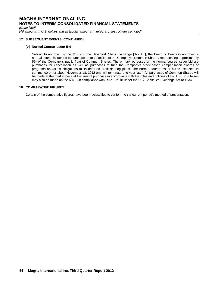*[Unaudited]*

*[All amounts in U.S. dollars and all tabular amounts in millions unless otherwise noted]*

#### **17. SUBSEQUENT EVENTS (CONTINUED)**

#### **[b] Normal Course Issuer Bid**

Subject to approval by the TSX and the New York Stock Exchange ["NYSE"], the Board of Directors approved a normal course issuer bid to purchase up to 12 million of the Company's Common Shares, representing approximately 5% of the Company's public float of Common Shares. The primary purposes of the normal course issuer bid are purchases for cancellation as well as purchases to fund the Company's stock-based compensation awards or programs and/or its obligations to its deferred profit sharing plans. The normal course issuer bid is expected to commence on or about November 13, 2012 and will terminate one year later. All purchases of Common Shares will be made at the market price at the time of purchase in accordance with the rules and policies of the TSX. Purchases may also be made on the NYSE in compliance with Rule 10b-18 under the U.S. Securities Exchange Act of 1934.

#### **18. COMPARATIVE FIGURES**

Certain of the comparative figures have been reclassified to conform to the current period's method of presentation.